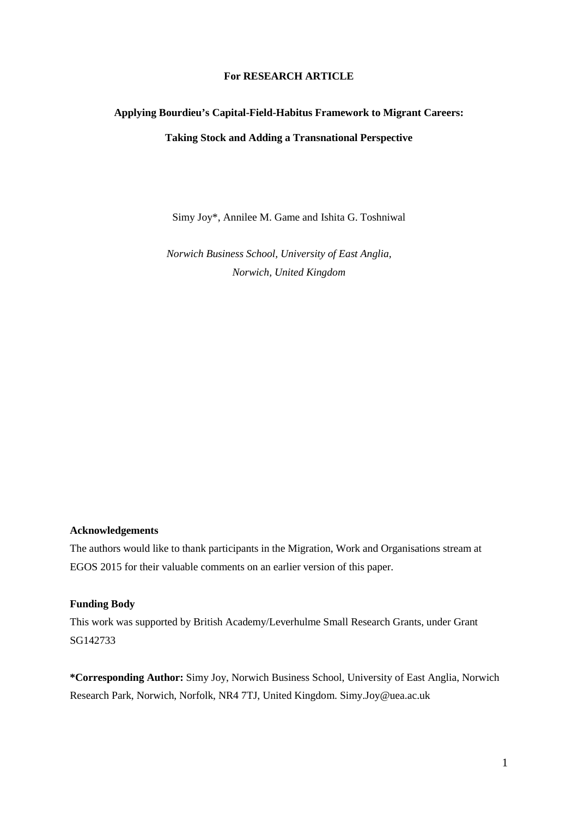#### **For RESEARCH ARTICLE**

# **Applying Bourdieu's Capital-Field-Habitus Framework to Migrant Careers: Taking Stock and Adding a Transnational Perspective**

Simy Joy\*, Annilee M. Game and Ishita G. Toshniwal

*Norwich Business School, University of East Anglia, Norwich, United Kingdom*

#### **Acknowledgements**

The authors would like to thank participants in the Migration, Work and Organisations stream at EGOS 2015 for their valuable comments on an earlier version of this paper.

#### **Funding Body**

This work was supported by British Academy/Leverhulme Small Research Grants, under Grant SG142733

**\*Corresponding Author:** Simy Joy, Norwich Business School, University of East Anglia, Norwich Research Park, Norwich, Norfolk, NR4 7TJ, United Kingdom. Simy.Joy@uea.ac.uk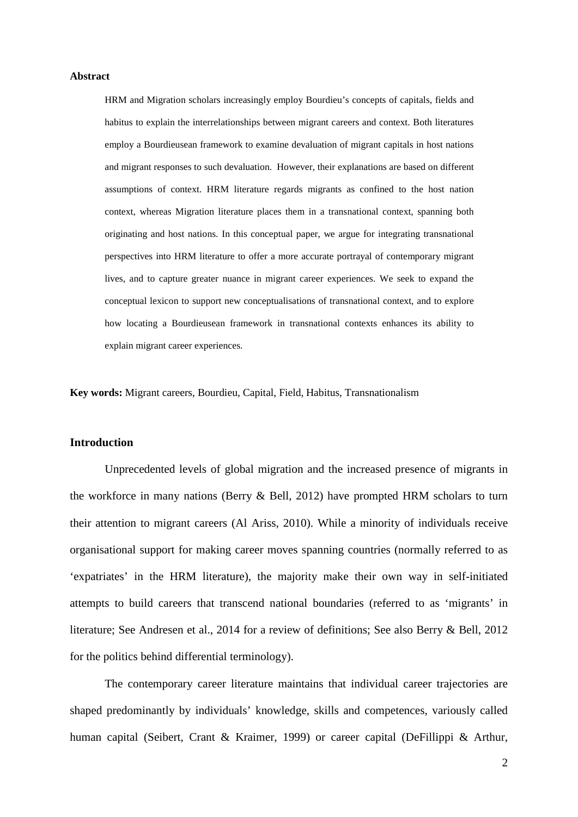#### **Abstract**

HRM and Migration scholars increasingly employ Bourdieu's concepts of capitals, fields and habitus to explain the interrelationships between migrant careers and context. Both literatures employ a Bourdieusean framework to examine devaluation of migrant capitals in host nations and migrant responses to such devaluation. However, their explanations are based on different assumptions of context. HRM literature regards migrants as confined to the host nation context, whereas Migration literature places them in a transnational context, spanning both originating and host nations. In this conceptual paper, we argue for integrating transnational perspectives into HRM literature to offer a more accurate portrayal of contemporary migrant lives, and to capture greater nuance in migrant career experiences. We seek to expand the conceptual lexicon to support new conceptualisations of transnational context, and to explore how locating a Bourdieusean framework in transnational contexts enhances its ability to explain migrant career experiences.

**Key words:** Migrant careers, Bourdieu, Capital, Field, Habitus, Transnationalism

# **Introduction**

Unprecedented levels of global migration and the increased presence of migrants in the workforce in many nations (Berry & Bell, 2012) have prompted HRM scholars to turn their attention to migrant careers (Al Ariss, 2010). While a minority of individuals receive organisational support for making career moves spanning countries (normally referred to as 'expatriates' in the HRM literature), the majority make their own way in self-initiated attempts to build careers that transcend national boundaries (referred to as 'migrants' in literature; See Andresen et al., 2014 for a review of definitions; See also Berry & Bell, 2012 for the politics behind differential terminology).

The contemporary career literature maintains that individual career trajectories are shaped predominantly by individuals' knowledge, skills and competences, variously called human capital (Seibert, Crant & Kraimer, 1999) or career capital (DeFillippi & Arthur,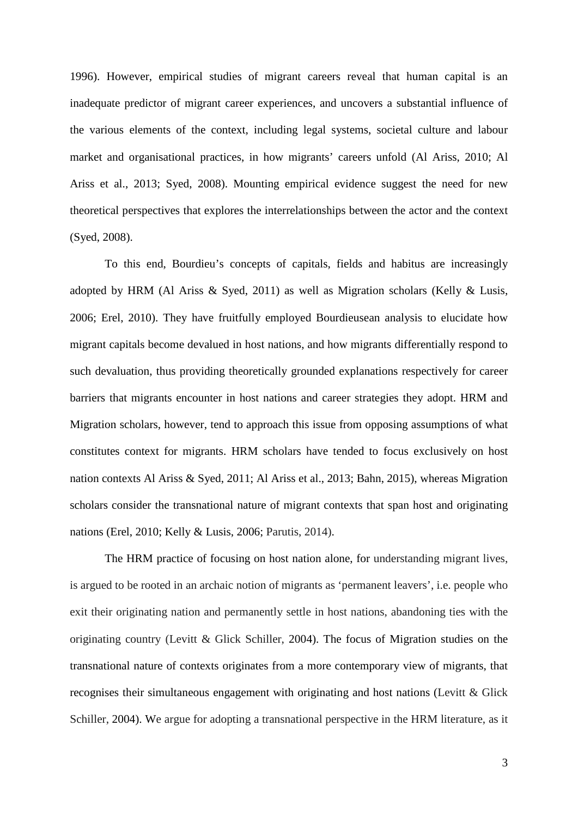1996). However, empirical studies of migrant careers reveal that human capital is an inadequate predictor of migrant career experiences, and uncovers a substantial influence of the various elements of the context, including legal systems, societal culture and labour market and organisational practices, in how migrants' careers unfold (Al Ariss, 2010; Al Ariss et al., 2013; Syed, 2008). Mounting empirical evidence suggest the need for new theoretical perspectives that explores the interrelationships between the actor and the context (Syed, 2008).

To this end, Bourdieu's concepts of capitals, fields and habitus are increasingly adopted by HRM (Al Ariss & Syed, 2011) as well as Migration scholars (Kelly & Lusis, 2006; Erel, 2010). They have fruitfully employed Bourdieusean analysis to elucidate how migrant capitals become devalued in host nations, and how migrants differentially respond to such devaluation, thus providing theoretically grounded explanations respectively for career barriers that migrants encounter in host nations and career strategies they adopt. HRM and Migration scholars, however, tend to approach this issue from opposing assumptions of what constitutes context for migrants. HRM scholars have tended to focus exclusively on host nation contexts Al Ariss & Syed, 2011; Al Ariss et al., 2013; Bahn, 2015), whereas Migration scholars consider the transnational nature of migrant contexts that span host and originating nations (Erel, 2010; Kelly & Lusis, 2006; Parutis, 2014).

The HRM practice of focusing on host nation alone, for understanding migrant lives, is argued to be rooted in an archaic notion of migrants as 'permanent leavers', i.e. people who exit their originating nation and permanently settle in host nations, abandoning ties with the originating country (Levitt & Glick Schiller, 2004). The focus of Migration studies on the transnational nature of contexts originates from a more contemporary view of migrants, that recognises their simultaneous engagement with originating and host nations (Levitt & Glick Schiller, 2004). We argue for adopting a transnational perspective in the HRM literature, as it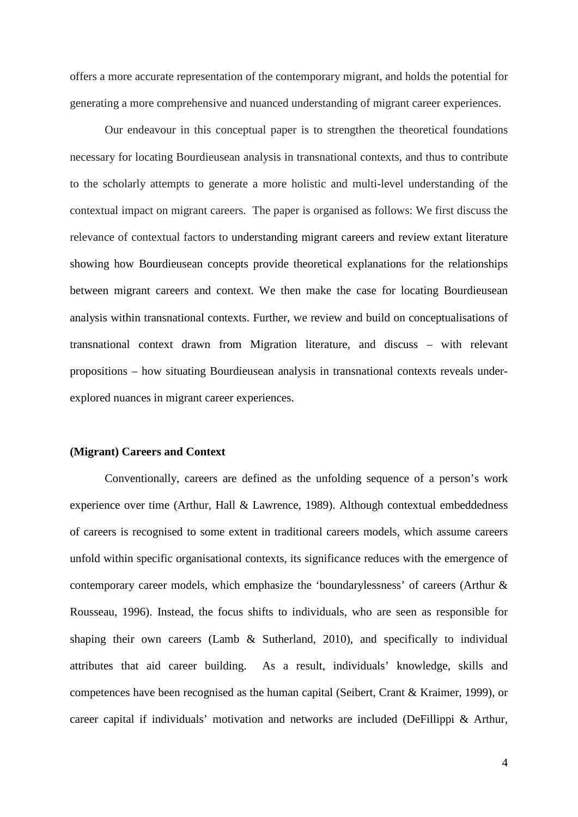offers a more accurate representation of the contemporary migrant, and holds the potential for generating a more comprehensive and nuanced understanding of migrant career experiences.

Our endeavour in this conceptual paper is to strengthen the theoretical foundations necessary for locating Bourdieusean analysis in transnational contexts, and thus to contribute to the scholarly attempts to generate a more holistic and multi-level understanding of the contextual impact on migrant careers. The paper is organised as follows: We first discuss the relevance of contextual factors to understanding migrant careers and review extant literature showing how Bourdieusean concepts provide theoretical explanations for the relationships between migrant careers and context. We then make the case for locating Bourdieusean analysis within transnational contexts. Further, we review and build on conceptualisations of transnational context drawn from Migration literature, and discuss – with relevant propositions – how situating Bourdieusean analysis in transnational contexts reveals underexplored nuances in migrant career experiences.

#### **(Migrant) Careers and Context**

Conventionally, careers are defined as the unfolding sequence of a person's work experience over time (Arthur, Hall & Lawrence, 1989). Although contextual embeddedness of careers is recognised to some extent in traditional careers models, which assume careers unfold within specific organisational contexts, its significance reduces with the emergence of contemporary career models, which emphasize the 'boundarylessness' of careers (Arthur & Rousseau, 1996). Instead, the focus shifts to individuals, who are seen as responsible for shaping their own careers (Lamb & Sutherland, 2010), and specifically to individual attributes that aid career building. As a result, individuals' knowledge, skills and competences have been recognised as the human capital (Seibert, Crant & Kraimer, 1999), or career capital if individuals' motivation and networks are included (DeFillippi & Arthur,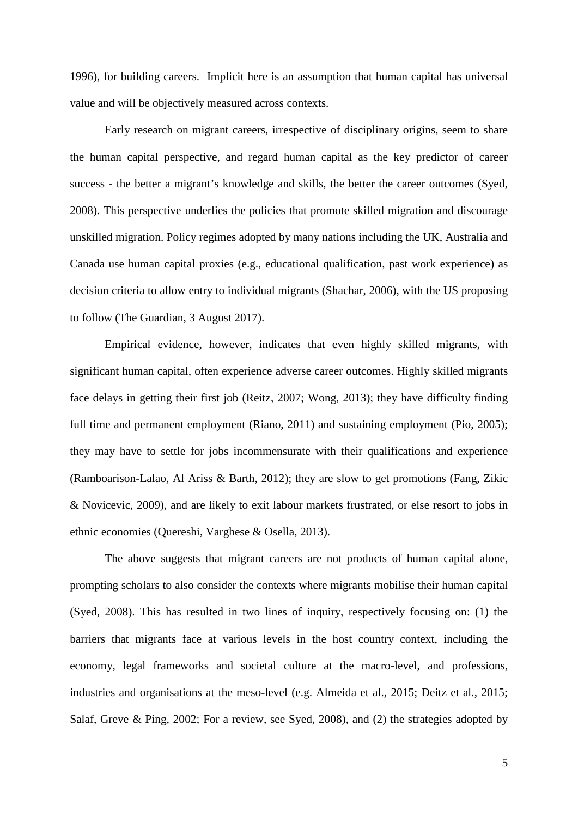1996), for building careers. Implicit here is an assumption that human capital has universal value and will be objectively measured across contexts.

Early research on migrant careers, irrespective of disciplinary origins, seem to share the human capital perspective, and regard human capital as the key predictor of career success - the better a migrant's knowledge and skills, the better the career outcomes (Syed, 2008). This perspective underlies the policies that promote skilled migration and discourage unskilled migration. Policy regimes adopted by many nations including the UK, Australia and Canada use human capital proxies (e.g., educational qualification, past work experience) as decision criteria to allow entry to individual migrants (Shachar, 2006), with the US proposing to follow (The Guardian, 3 August 2017).

Empirical evidence, however, indicates that even highly skilled migrants, with significant human capital, often experience adverse career outcomes. Highly skilled migrants face delays in getting their first job (Reitz, 2007; Wong, 2013); they have difficulty finding full time and permanent employment (Riano, 2011) and sustaining employment (Pio, 2005); they may have to settle for jobs incommensurate with their qualifications and experience (Ramboarison-Lalao, Al Ariss & Barth, 2012); they are slow to get promotions (Fang, Zikic & Novicevic, 2009), and are likely to exit labour markets frustrated, or else resort to jobs in ethnic economies (Quereshi, Varghese & Osella, 2013).

The above suggests that migrant careers are not products of human capital alone, prompting scholars to also consider the contexts where migrants mobilise their human capital (Syed, 2008). This has resulted in two lines of inquiry, respectively focusing on: (1) the barriers that migrants face at various levels in the host country context, including the economy, legal frameworks and societal culture at the macro-level, and professions, industries and organisations at the meso-level (e.g. Almeida et al., 2015; Deitz et al., 2015; Salaf, Greve & Ping, 2002; For a review, see Syed, 2008), and (2) the strategies adopted by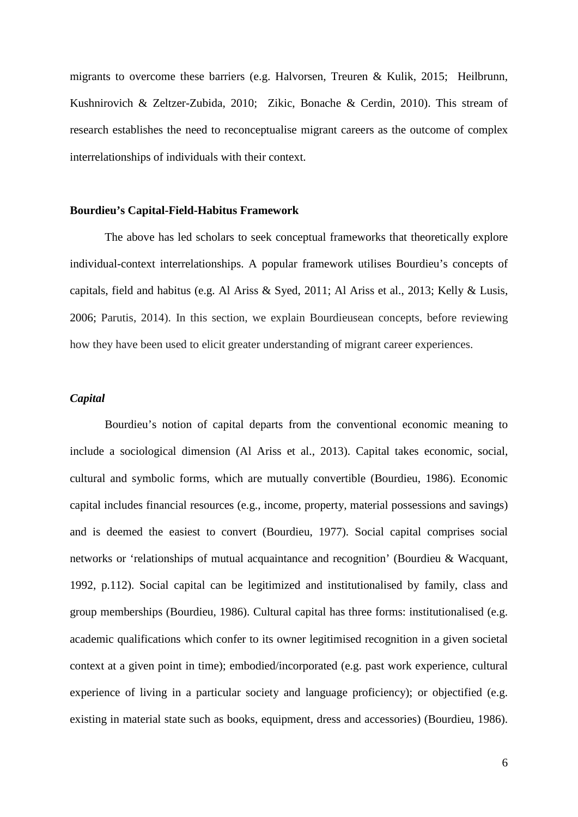migrants to overcome these barriers (e.g. Halvorsen, Treuren & Kulik, 2015; Heilbrunn, Kushnirovich & Zeltzer-Zubida, 2010; Zikic, Bonache & Cerdin, 2010). This stream of research establishes the need to reconceptualise migrant careers as the outcome of complex interrelationships of individuals with their context.

# **Bourdieu's Capital-Field-Habitus Framework**

The above has led scholars to seek conceptual frameworks that theoretically explore individual-context interrelationships. A popular framework utilises Bourdieu's concepts of capitals, field and habitus (e.g. Al Ariss & Syed, 2011; Al Ariss et al., 2013; Kelly & Lusis, 2006; Parutis, 2014). In this section, we explain Bourdieusean concepts, before reviewing how they have been used to elicit greater understanding of migrant career experiences.

# *Capital*

Bourdieu's notion of capital departs from the conventional economic meaning to include a sociological dimension (Al Ariss et al., 2013). Capital takes economic, social, cultural and symbolic forms, which are mutually convertible (Bourdieu, 1986). Economic capital includes financial resources (e.g., income, property, material possessions and savings) and is deemed the easiest to convert (Bourdieu, 1977). Social capital comprises social networks or 'relationships of mutual acquaintance and recognition' (Bourdieu & Wacquant, 1992, p.112). Social capital can be legitimized and institutionalised by family, class and group memberships (Bourdieu, 1986). Cultural capital has three forms: institutionalised (e.g. academic qualifications which confer to its owner legitimised recognition in a given societal context at a given point in time); embodied/incorporated (e.g. past work experience, cultural experience of living in a particular society and language proficiency); or objectified (e.g. existing in material state such as books, equipment, dress and accessories) (Bourdieu, 1986).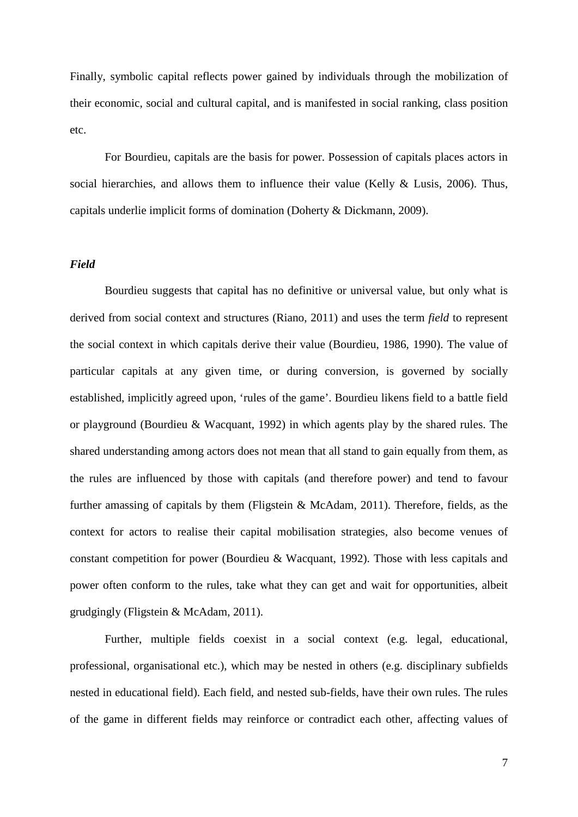Finally, symbolic capital reflects power gained by individuals through the mobilization of their economic, social and cultural capital, and is manifested in social ranking, class position etc.

For Bourdieu, capitals are the basis for power. Possession of capitals places actors in social hierarchies, and allows them to influence their value (Kelly & Lusis, 2006). Thus, capitals underlie implicit forms of domination (Doherty & Dickmann, 2009).

# *Field*

Bourdieu suggests that capital has no definitive or universal value, but only what is derived from social context and structures (Riano, 2011) and uses the term *field* to represent the social context in which capitals derive their value (Bourdieu, 1986, 1990). The value of particular capitals at any given time, or during conversion, is governed by socially established, implicitly agreed upon, 'rules of the game'. Bourdieu likens field to a battle field or playground (Bourdieu & Wacquant, 1992) in which agents play by the shared rules. The shared understanding among actors does not mean that all stand to gain equally from them, as the rules are influenced by those with capitals (and therefore power) and tend to favour further amassing of capitals by them (Fligstein & McAdam, 2011). Therefore, fields, as the context for actors to realise their capital mobilisation strategies, also become venues of constant competition for power (Bourdieu & Wacquant, 1992). Those with less capitals and power often conform to the rules, take what they can get and wait for opportunities, albeit grudgingly (Fligstein & McAdam, 2011).

Further, multiple fields coexist in a social context (e.g. legal, educational, professional, organisational etc.), which may be nested in others (e.g. disciplinary subfields nested in educational field). Each field, and nested sub-fields, have their own rules. The rules of the game in different fields may reinforce or contradict each other, affecting values of

7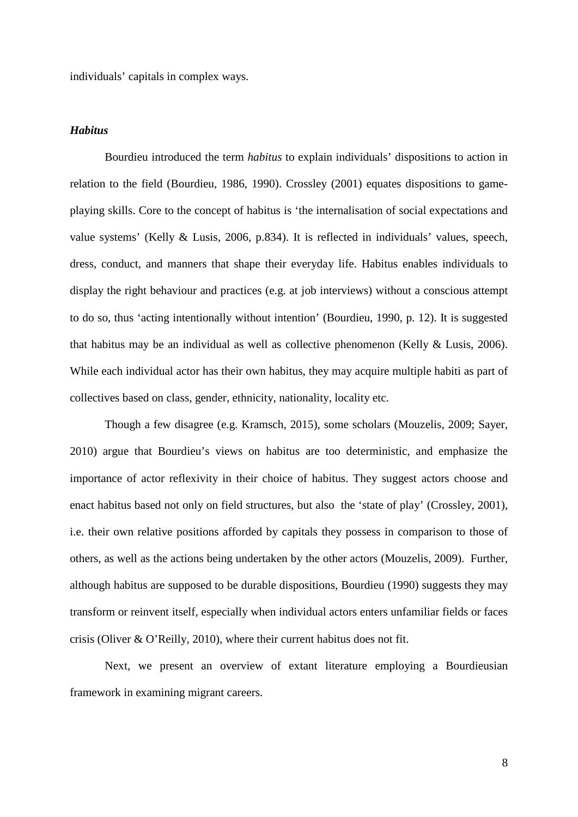individuals' capitals in complex ways.

## *Habitus*

Bourdieu introduced the term *habitus* to explain individuals' dispositions to action in relation to the field (Bourdieu, 1986, 1990). Crossley (2001) equates dispositions to gameplaying skills. Core to the concept of habitus is 'the internalisation of social expectations and value systems' (Kelly & Lusis, 2006, p.834). It is reflected in individuals' values, speech, dress, conduct, and manners that shape their everyday life. Habitus enables individuals to display the right behaviour and practices (e.g. at job interviews) without a conscious attempt to do so, thus 'acting intentionally without intention' (Bourdieu, 1990, p. 12). It is suggested that habitus may be an individual as well as collective phenomenon (Kelly & Lusis, 2006). While each individual actor has their own habitus, they may acquire multiple habiti as part of collectives based on class, gender, ethnicity, nationality, locality etc.

Though a few disagree (e.g. Kramsch, 2015), some scholars (Mouzelis, 2009; Sayer, 2010) argue that Bourdieu's views on habitus are too deterministic, and emphasize the importance of actor reflexivity in their choice of habitus. They suggest actors choose and enact habitus based not only on field structures, but also the 'state of play' (Crossley, 2001), i.e. their own relative positions afforded by capitals they possess in comparison to those of others, as well as the actions being undertaken by the other actors (Mouzelis, 2009). Further, although habitus are supposed to be durable dispositions, Bourdieu (1990) suggests they may transform or reinvent itself, especially when individual actors enters unfamiliar fields or faces crisis (Oliver & O'Reilly, 2010), where their current habitus does not fit.

Next, we present an overview of extant literature employing a Bourdieusian framework in examining migrant careers.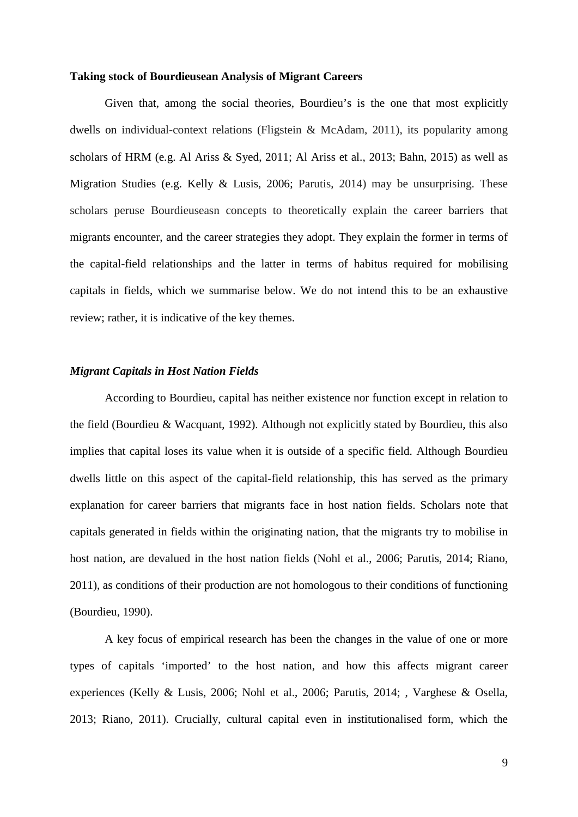#### **Taking stock of Bourdieusean Analysis of Migrant Careers**

Given that, among the social theories, Bourdieu's is the one that most explicitly dwells on individual-context relations (Fligstein & McAdam, 2011), its popularity among scholars of HRM (e.g. Al Ariss & Syed, 2011; Al Ariss et al., 2013; Bahn, 2015) as well as Migration Studies (e.g. Kelly & Lusis, 2006; Parutis, 2014) may be unsurprising. These scholars peruse Bourdieuseasn concepts to theoretically explain the career barriers that migrants encounter, and the career strategies they adopt. They explain the former in terms of the capital-field relationships and the latter in terms of habitus required for mobilising capitals in fields, which we summarise below. We do not intend this to be an exhaustive review; rather, it is indicative of the key themes.

### *Migrant Capitals in Host Nation Fields*

According to Bourdieu, capital has neither existence nor function except in relation to the field (Bourdieu & Wacquant, 1992). Although not explicitly stated by Bourdieu, this also implies that capital loses its value when it is outside of a specific field. Although Bourdieu dwells little on this aspect of the capital-field relationship, this has served as the primary explanation for career barriers that migrants face in host nation fields. Scholars note that capitals generated in fields within the originating nation, that the migrants try to mobilise in host nation, are devalued in the host nation fields (Nohl et al., 2006; Parutis, 2014; Riano, 2011), as conditions of their production are not homologous to their conditions of functioning (Bourdieu, 1990).

A key focus of empirical research has been the changes in the value of one or more types of capitals 'imported' to the host nation, and how this affects migrant career experiences (Kelly & Lusis, 2006; Nohl et al., 2006; Parutis, 2014; , Varghese & Osella, 2013; Riano, 2011). Crucially, cultural capital even in institutionalised form, which the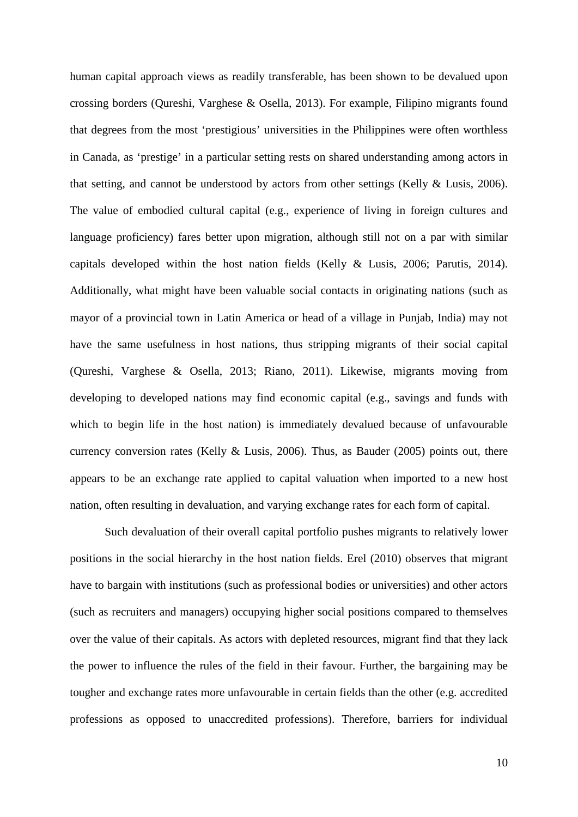human capital approach views as readily transferable, has been shown to be devalued upon crossing borders (Qureshi, Varghese & Osella, 2013). For example, Filipino migrants found that degrees from the most 'prestigious' universities in the Philippines were often worthless in Canada, as 'prestige' in a particular setting rests on shared understanding among actors in that setting, and cannot be understood by actors from other settings (Kelly & Lusis, 2006). The value of embodied cultural capital (e.g., experience of living in foreign cultures and language proficiency) fares better upon migration, although still not on a par with similar capitals developed within the host nation fields (Kelly & Lusis, 2006; Parutis, 2014). Additionally, what might have been valuable social contacts in originating nations (such as mayor of a provincial town in Latin America or head of a village in Punjab, India) may not have the same usefulness in host nations, thus stripping migrants of their social capital (Qureshi, Varghese & Osella, 2013; Riano, 2011). Likewise, migrants moving from developing to developed nations may find economic capital (e.g., savings and funds with which to begin life in the host nation) is immediately devalued because of unfavourable currency conversion rates (Kelly & Lusis, 2006). Thus, as Bauder (2005) points out, there appears to be an exchange rate applied to capital valuation when imported to a new host nation, often resulting in devaluation, and varying exchange rates for each form of capital.

Such devaluation of their overall capital portfolio pushes migrants to relatively lower positions in the social hierarchy in the host nation fields. Erel (2010) observes that migrant have to bargain with institutions (such as professional bodies or universities) and other actors (such as recruiters and managers) occupying higher social positions compared to themselves over the value of their capitals. As actors with depleted resources, migrant find that they lack the power to influence the rules of the field in their favour. Further, the bargaining may be tougher and exchange rates more unfavourable in certain fields than the other (e.g. accredited professions as opposed to unaccredited professions). Therefore, barriers for individual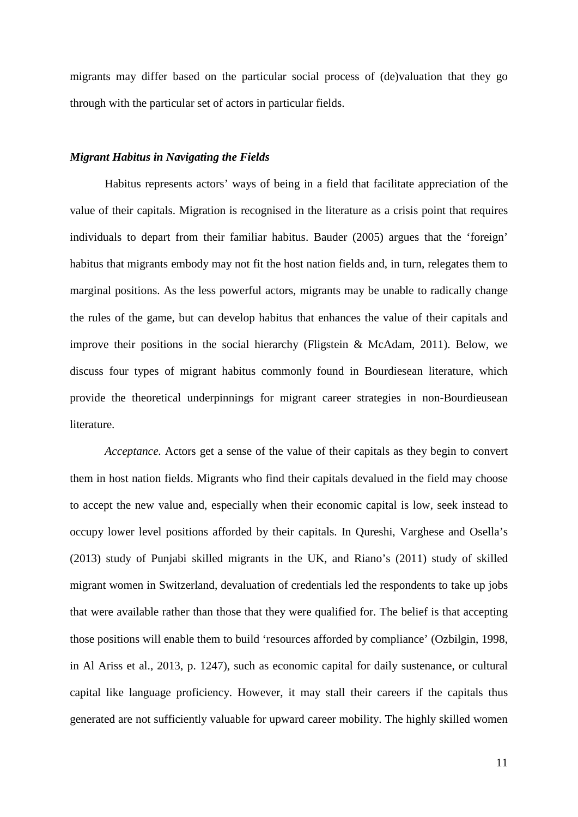migrants may differ based on the particular social process of (de)valuation that they go through with the particular set of actors in particular fields.

#### *Migrant Habitus in Navigating the Fields*

Habitus represents actors' ways of being in a field that facilitate appreciation of the value of their capitals. Migration is recognised in the literature as a crisis point that requires individuals to depart from their familiar habitus. Bauder (2005) argues that the 'foreign' habitus that migrants embody may not fit the host nation fields and, in turn, relegates them to marginal positions. As the less powerful actors, migrants may be unable to radically change the rules of the game, but can develop habitus that enhances the value of their capitals and improve their positions in the social hierarchy (Fligstein & McAdam, 2011). Below, we discuss four types of migrant habitus commonly found in Bourdiesean literature, which provide the theoretical underpinnings for migrant career strategies in non-Bourdieusean literature.

*Acceptance.* Actors get a sense of the value of their capitals as they begin to convert them in host nation fields. Migrants who find their capitals devalued in the field may choose to accept the new value and, especially when their economic capital is low, seek instead to occupy lower level positions afforded by their capitals. In Qureshi, Varghese and Osella's (2013) study of Punjabi skilled migrants in the UK, and Riano's (2011) study of skilled migrant women in Switzerland, devaluation of credentials led the respondents to take up jobs that were available rather than those that they were qualified for. The belief is that accepting those positions will enable them to build 'resources afforded by compliance' (Ozbilgin, 1998, in Al Ariss et al., 2013, p. 1247), such as economic capital for daily sustenance, or cultural capital like language proficiency. However, it may stall their careers if the capitals thus generated are not sufficiently valuable for upward career mobility. The highly skilled women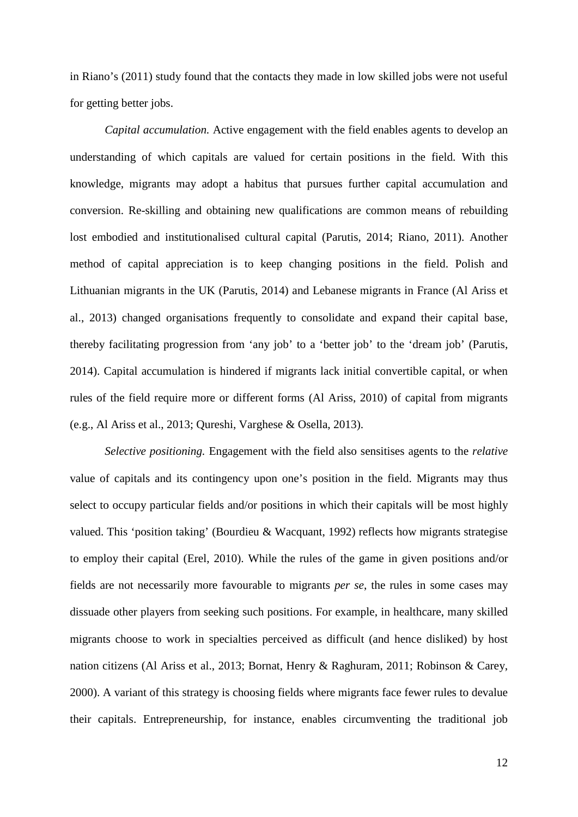in Riano's (2011) study found that the contacts they made in low skilled jobs were not useful for getting better jobs.

*Capital accumulation.* Active engagement with the field enables agents to develop an understanding of which capitals are valued for certain positions in the field. With this knowledge, migrants may adopt a habitus that pursues further capital accumulation and conversion. Re-skilling and obtaining new qualifications are common means of rebuilding lost embodied and institutionalised cultural capital (Parutis, 2014; Riano, 2011). Another method of capital appreciation is to keep changing positions in the field. Polish and Lithuanian migrants in the UK (Parutis, 2014) and Lebanese migrants in France (Al Ariss et al., 2013) changed organisations frequently to consolidate and expand their capital base, thereby facilitating progression from 'any job' to a 'better job' to the 'dream job' (Parutis, 2014). Capital accumulation is hindered if migrants lack initial convertible capital, or when rules of the field require more or different forms (Al Ariss, 2010) of capital from migrants (e.g., Al Ariss et al., 2013; Qureshi, Varghese & Osella, 2013).

*Selective positioning.* Engagement with the field also sensitises agents to the *relative* value of capitals and its contingency upon one's position in the field. Migrants may thus select to occupy particular fields and/or positions in which their capitals will be most highly valued. This 'position taking' (Bourdieu & Wacquant, 1992) reflects how migrants strategise to employ their capital (Erel, 2010). While the rules of the game in given positions and/or fields are not necessarily more favourable to migrants *per se*, the rules in some cases may dissuade other players from seeking such positions. For example, in healthcare, many skilled migrants choose to work in specialties perceived as difficult (and hence disliked) by host nation citizens (Al Ariss et al., 2013; Bornat, Henry & Raghuram, 2011; Robinson & Carey, 2000). A variant of this strategy is choosing fields where migrants face fewer rules to devalue their capitals. Entrepreneurship, for instance, enables circumventing the traditional job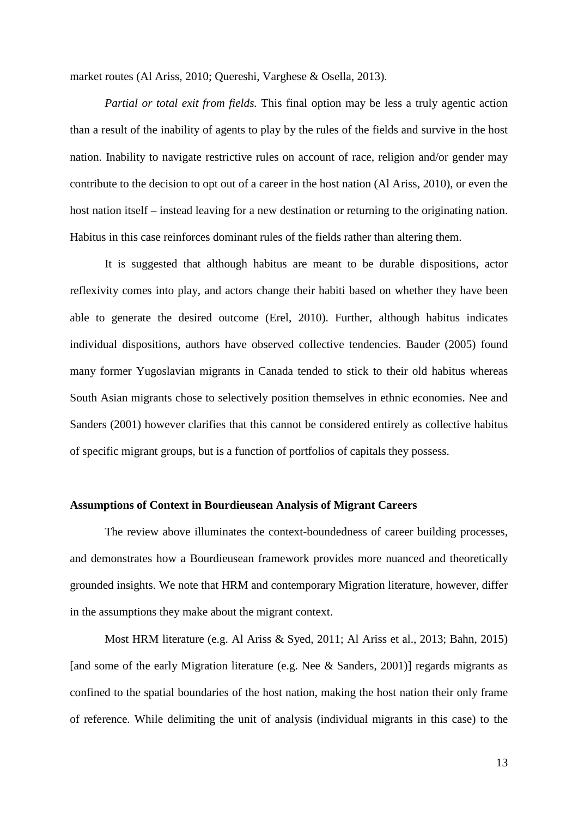market routes (Al Ariss, 2010; Quereshi, Varghese & Osella, 2013).

*Partial or total exit from fields.* This final option may be less a truly agentic action than a result of the inability of agents to play by the rules of the fields and survive in the host nation. Inability to navigate restrictive rules on account of race, religion and/or gender may contribute to the decision to opt out of a career in the host nation (Al Ariss, 2010), or even the host nation itself – instead leaving for a new destination or returning to the originating nation. Habitus in this case reinforces dominant rules of the fields rather than altering them.

It is suggested that although habitus are meant to be durable dispositions, actor reflexivity comes into play, and actors change their habiti based on whether they have been able to generate the desired outcome (Erel, 2010). Further, although habitus indicates individual dispositions, authors have observed collective tendencies. Bauder (2005) found many former Yugoslavian migrants in Canada tended to stick to their old habitus whereas South Asian migrants chose to selectively position themselves in ethnic economies. Nee and Sanders (2001) however clarifies that this cannot be considered entirely as collective habitus of specific migrant groups, but is a function of portfolios of capitals they possess.

# **Assumptions of Context in Bourdieusean Analysis of Migrant Careers**

The review above illuminates the context-boundedness of career building processes, and demonstrates how a Bourdieusean framework provides more nuanced and theoretically grounded insights. We note that HRM and contemporary Migration literature, however, differ in the assumptions they make about the migrant context.

Most HRM literature (e.g. Al Ariss & Syed, 2011; Al Ariss et al., 2013; Bahn, 2015) [and some of the early Migration literature (e.g. Nee & Sanders, 2001)] regards migrants as confined to the spatial boundaries of the host nation, making the host nation their only frame of reference. While delimiting the unit of analysis (individual migrants in this case) to the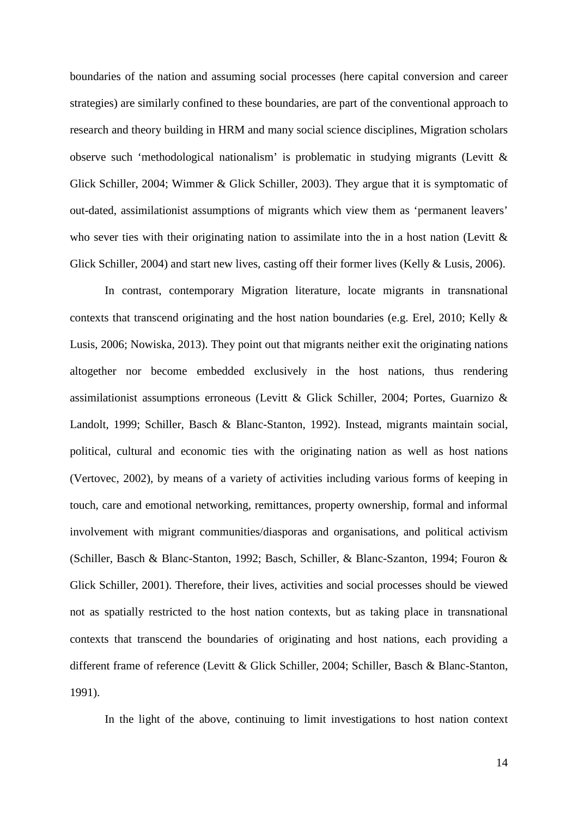boundaries of the nation and assuming social processes (here capital conversion and career strategies) are similarly confined to these boundaries, are part of the conventional approach to research and theory building in HRM and many social science disciplines, Migration scholars observe such 'methodological nationalism' is problematic in studying migrants (Levitt & Glick Schiller, 2004; Wimmer & Glick Schiller, 2003). They argue that it is symptomatic of out-dated, assimilationist assumptions of migrants which view them as 'permanent leavers' who sever ties with their originating nation to assimilate into the in a host nation (Levitt  $\&$ Glick Schiller, 2004) and start new lives, casting off their former lives (Kelly & Lusis, 2006).

In contrast, contemporary Migration literature, locate migrants in transnational contexts that transcend originating and the host nation boundaries (e.g. Erel, 2010; Kelly  $\&$ Lusis, 2006; Nowiska, 2013). They point out that migrants neither exit the originating nations altogether nor become embedded exclusively in the host nations, thus rendering assimilationist assumptions erroneous (Levitt & Glick Schiller, 2004; Portes, Guarnizo & Landolt, 1999; Schiller, Basch & Blanc-Stanton, 1992). Instead, migrants maintain social, political, cultural and economic ties with the originating nation as well as host nations (Vertovec, 2002), by means of a variety of activities including various forms of keeping in touch, care and emotional networking, remittances, property ownership, formal and informal involvement with migrant communities/diasporas and organisations, and political activism (Schiller, Basch & Blanc-Stanton, 1992; Basch, Schiller, & Blanc-Szanton, 1994; Fouron & Glick Schiller, 2001). Therefore, their lives, activities and social processes should be viewed not as spatially restricted to the host nation contexts, but as taking place in transnational contexts that transcend the boundaries of originating and host nations, each providing a different frame of reference (Levitt & Glick Schiller, 2004; Schiller, Basch & Blanc-Stanton, 1991).

In the light of the above, continuing to limit investigations to host nation context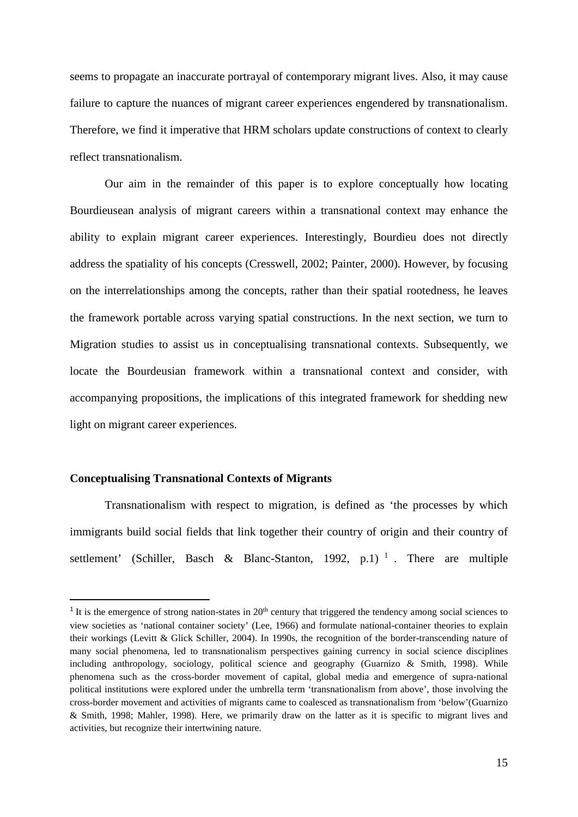seems to propagate an inaccurate portrayal of contemporary migrant lives. Also, it may cause failure to capture the nuances of migrant career experiences engendered by transnationalism. Therefore, we find it imperative that HRM scholars update constructions of context to clearly reflect transnationalism.

Our aim in the remainder of this paper is to explore conceptually how locating Bourdieusean analysis of migrant careers within a transnational context may enhance the ability to explain migrant career experiences. Interestingly, Bourdieu does not directly address the spatiality of his concepts (Cresswell, 2002; Painter, 2000). However, by focusing on the interrelationships among the concepts, rather than their spatial rootedness, he leaves the framework portable across varying spatial constructions. In the next section, we turn to Migration studies to assist us in conceptualising transnational contexts. Subsequently, we locate the Bourdeusian framework within a transnational context and consider, with accompanying propositions, the implications of this integrated framework for shedding new light on migrant career experiences.

# **Conceptualising Transnational Contexts of Migrants**

Transnationalism with respect to migration, is defined as 'the processes by which immigrants build social fields that link together their country of origin and their country of settlement' (Schiller, Basch & Blanc-Stanton, 1992, p.1)<sup>1</sup>. There are multiple

 $1$  It is the emergence of strong nation-states in  $20<sup>th</sup>$  century that triggered the tendency among social sciences to view societies as 'national container society' (Lee, 1966) and formulate national-container theories to explain their workings (Levitt & Glick Schiller, 2004). In 1990s, the recognition of the border-transcending nature of many social phenomena, led to transnationalism perspectives gaining currency in social science disciplines including anthropology, sociology, political science and geography (Guarnizo & Smith, 1998). While phenomena such as the cross-border movement of capital, global media and emergence of supra-national political institutions were explored under the umbrella term 'transnationalism from above', those involving the cross-border movement and activities of migrants came to coalesced as transnationalism from 'below'(Guarnizo & Smith, 1998; Mahler, 1998). Here, we primarily draw on the latter as it is specific to migrant lives and activities, but recognize their intertwining nature.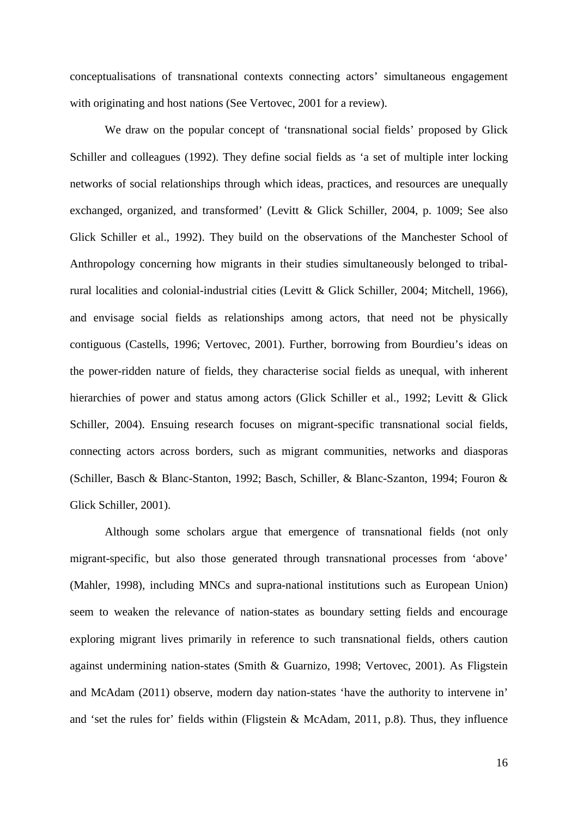conceptualisations of transnational contexts connecting actors' simultaneous engagement with originating and host nations (See Vertovec, 2001 for a review).

We draw on the popular concept of 'transnational social fields' proposed by Glick Schiller and colleagues (1992). They define social fields as 'a set of multiple inter locking networks of social relationships through which ideas, practices, and resources are unequally exchanged, organized, and transformed' (Levitt & Glick Schiller, 2004, p. 1009; See also Glick Schiller et al., 1992). They build on the observations of the Manchester School of Anthropology concerning how migrants in their studies simultaneously belonged to tribalrural localities and colonial-industrial cities (Levitt & Glick Schiller, 2004; Mitchell, 1966), and envisage social fields as relationships among actors, that need not be physically contiguous (Castells, 1996; Vertovec, 2001). Further, borrowing from Bourdieu's ideas on the power-ridden nature of fields, they characterise social fields as unequal, with inherent hierarchies of power and status among actors (Glick Schiller et al., 1992; Levitt & Glick Schiller, 2004). Ensuing research focuses on migrant-specific transnational social fields, connecting actors across borders, such as migrant communities, networks and diasporas (Schiller, Basch & Blanc-Stanton, 1992; Basch, Schiller, & Blanc-Szanton, 1994; Fouron & Glick Schiller, 2001).

Although some scholars argue that emergence of transnational fields (not only migrant-specific, but also those generated through transnational processes from 'above' (Mahler, 1998), including MNCs and supra-national institutions such as European Union) seem to weaken the relevance of nation-states as boundary setting fields and encourage exploring migrant lives primarily in reference to such transnational fields, others caution against undermining nation-states (Smith & Guarnizo, 1998; Vertovec, 2001). As Fligstein and McAdam (2011) observe, modern day nation-states 'have the authority to intervene in' and 'set the rules for' fields within (Fligstein & McAdam, 2011, p.8). Thus, they influence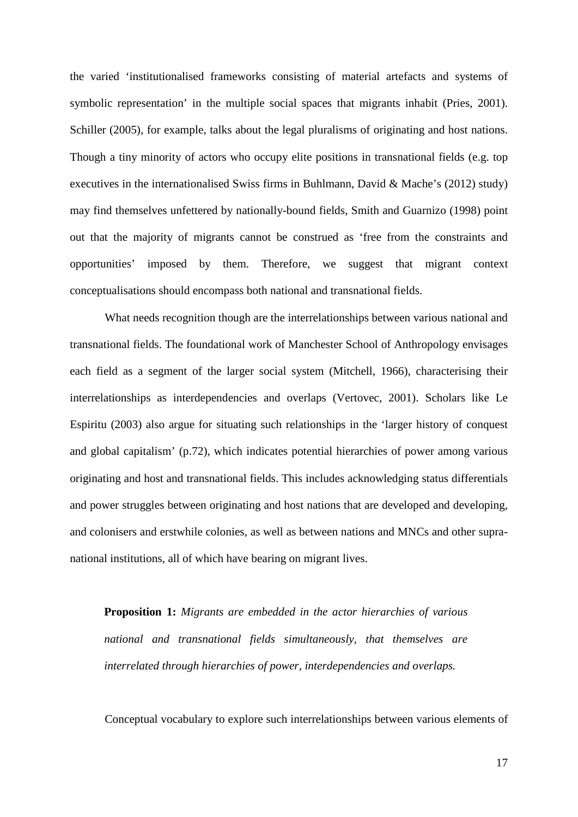the varied 'institutionalised frameworks consisting of material artefacts and systems of symbolic representation' in the multiple social spaces that migrants inhabit (Pries, 2001). Schiller (2005), for example, talks about the legal pluralisms of originating and host nations. Though a tiny minority of actors who occupy elite positions in transnational fields (e.g. top executives in the internationalised Swiss firms in Buhlmann, David & Mache's (2012) study) may find themselves unfettered by nationally-bound fields, Smith and Guarnizo (1998) point out that the majority of migrants cannot be construed as 'free from the constraints and opportunities' imposed by them. Therefore, we suggest that migrant context conceptualisations should encompass both national and transnational fields.

What needs recognition though are the interrelationships between various national and transnational fields. The foundational work of Manchester School of Anthropology envisages each field as a segment of the larger social system (Mitchell, 1966), characterising their interrelationships as interdependencies and overlaps (Vertovec, 2001). Scholars like Le Espiritu (2003) also argue for situating such relationships in the 'larger history of conquest and global capitalism' (p.72), which indicates potential hierarchies of power among various originating and host and transnational fields. This includes acknowledging status differentials and power struggles between originating and host nations that are developed and developing, and colonisers and erstwhile colonies, as well as between nations and MNCs and other supranational institutions, all of which have bearing on migrant lives.

**Proposition 1:** *Migrants are embedded in the actor hierarchies of various national and transnational fields simultaneously, that themselves are interrelated through hierarchies of power, interdependencies and overlaps.*

Conceptual vocabulary to explore such interrelationships between various elements of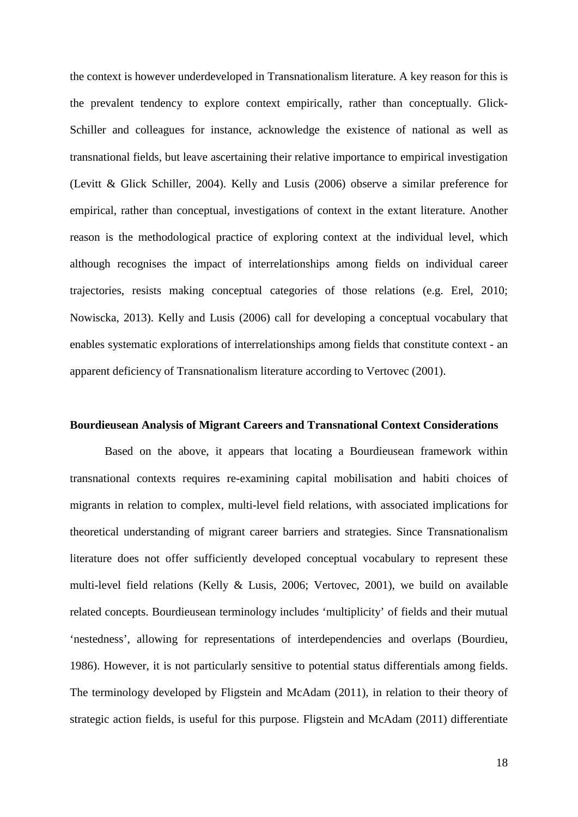the context is however underdeveloped in Transnationalism literature. A key reason for this is the prevalent tendency to explore context empirically, rather than conceptually. Glick-Schiller and colleagues for instance, acknowledge the existence of national as well as transnational fields, but leave ascertaining their relative importance to empirical investigation (Levitt & Glick Schiller, 2004). Kelly and Lusis (2006) observe a similar preference for empirical, rather than conceptual, investigations of context in the extant literature. Another reason is the methodological practice of exploring context at the individual level, which although recognises the impact of interrelationships among fields on individual career trajectories, resists making conceptual categories of those relations (e.g. Erel, 2010; Nowiscka, 2013). Kelly and Lusis (2006) call for developing a conceptual vocabulary that enables systematic explorations of interrelationships among fields that constitute context - an apparent deficiency of Transnationalism literature according to Vertovec (2001).

#### **Bourdieusean Analysis of Migrant Careers and Transnational Context Considerations**

Based on the above, it appears that locating a Bourdieusean framework within transnational contexts requires re-examining capital mobilisation and habiti choices of migrants in relation to complex, multi-level field relations, with associated implications for theoretical understanding of migrant career barriers and strategies. Since Transnationalism literature does not offer sufficiently developed conceptual vocabulary to represent these multi-level field relations (Kelly & Lusis, 2006; Vertovec, 2001), we build on available related concepts. Bourdieusean terminology includes 'multiplicity' of fields and their mutual 'nestedness', allowing for representations of interdependencies and overlaps (Bourdieu, 1986). However, it is not particularly sensitive to potential status differentials among fields. The terminology developed by Fligstein and McAdam (2011), in relation to their theory of strategic action fields, is useful for this purpose. Fligstein and McAdam (2011) differentiate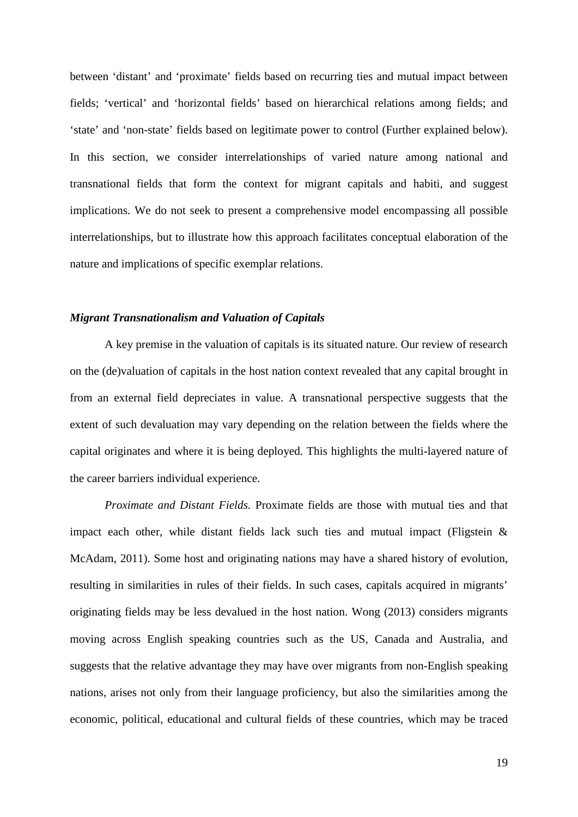between 'distant' and 'proximate' fields based on recurring ties and mutual impact between fields; 'vertical' and 'horizontal fields' based on hierarchical relations among fields; and 'state' and 'non-state' fields based on legitimate power to control (Further explained below). In this section, we consider interrelationships of varied nature among national and transnational fields that form the context for migrant capitals and habiti, and suggest implications. We do not seek to present a comprehensive model encompassing all possible interrelationships, but to illustrate how this approach facilitates conceptual elaboration of the nature and implications of specific exemplar relations.

#### *Migrant Transnationalism and Valuation of Capitals*

A key premise in the valuation of capitals is its situated nature. Our review of research on the (de)valuation of capitals in the host nation context revealed that any capital brought in from an external field depreciates in value. A transnational perspective suggests that the extent of such devaluation may vary depending on the relation between the fields where the capital originates and where it is being deployed. This highlights the multi-layered nature of the career barriers individual experience.

*Proximate and Distant Fields.* Proximate fields are those with mutual ties and that impact each other, while distant fields lack such ties and mutual impact (Fligstein  $\&$ McAdam, 2011). Some host and originating nations may have a shared history of evolution, resulting in similarities in rules of their fields. In such cases, capitals acquired in migrants' originating fields may be less devalued in the host nation. Wong (2013) considers migrants moving across English speaking countries such as the US, Canada and Australia, and suggests that the relative advantage they may have over migrants from non-English speaking nations, arises not only from their language proficiency, but also the similarities among the economic, political, educational and cultural fields of these countries, which may be traced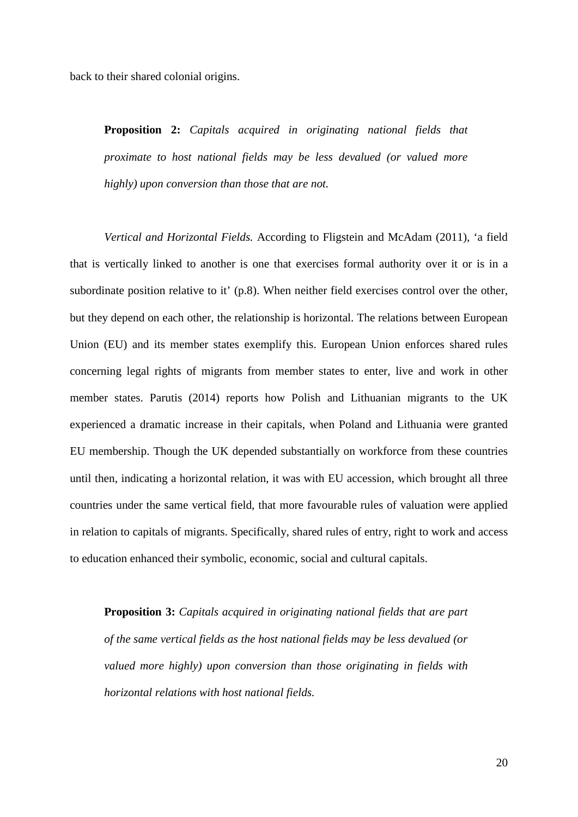back to their shared colonial origins.

**Proposition 2:** *Capitals acquired in originating national fields that proximate to host national fields may be less devalued (or valued more highly) upon conversion than those that are not.*

*Vertical and Horizontal Fields.* According to Fligstein and McAdam (2011), 'a field that is vertically linked to another is one that exercises formal authority over it or is in a subordinate position relative to it' (p.8). When neither field exercises control over the other, but they depend on each other, the relationship is horizontal. The relations between European Union (EU) and its member states exemplify this. European Union enforces shared rules concerning legal rights of migrants from member states to enter, live and work in other member states. Parutis (2014) reports how Polish and Lithuanian migrants to the UK experienced a dramatic increase in their capitals, when Poland and Lithuania were granted EU membership. Though the UK depended substantially on workforce from these countries until then, indicating a horizontal relation, it was with EU accession, which brought all three countries under the same vertical field, that more favourable rules of valuation were applied in relation to capitals of migrants. Specifically, shared rules of entry, right to work and access to education enhanced their symbolic, economic, social and cultural capitals.

**Proposition 3:** *Capitals acquired in originating national fields that are part of the same vertical fields as the host national fields may be less devalued (or valued more highly) upon conversion than those originating in fields with horizontal relations with host national fields.*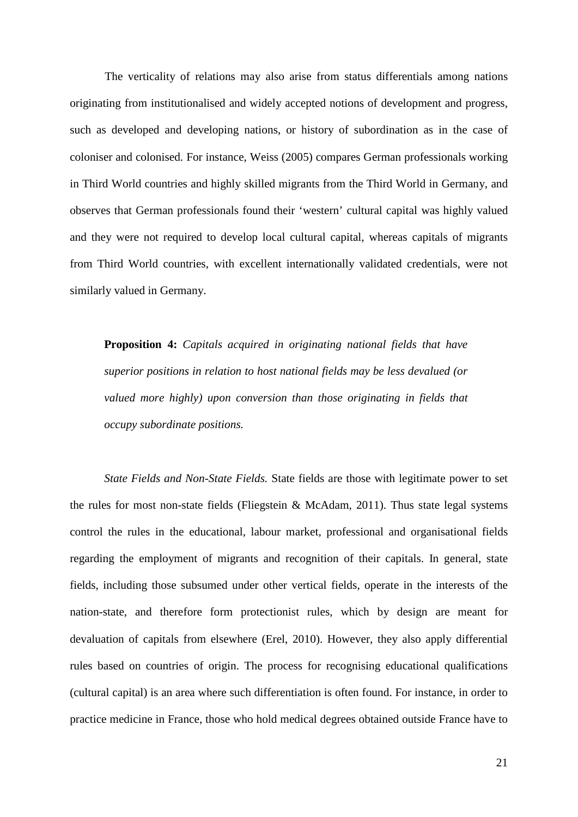The verticality of relations may also arise from status differentials among nations originating from institutionalised and widely accepted notions of development and progress, such as developed and developing nations, or history of subordination as in the case of coloniser and colonised. For instance, Weiss (2005) compares German professionals working in Third World countries and highly skilled migrants from the Third World in Germany, and observes that German professionals found their 'western' cultural capital was highly valued and they were not required to develop local cultural capital, whereas capitals of migrants from Third World countries, with excellent internationally validated credentials, were not similarly valued in Germany.

**Proposition 4:** *Capitals acquired in originating national fields that have superior positions in relation to host national fields may be less devalued (or valued more highly) upon conversion than those originating in fields that occupy subordinate positions.*

*State Fields and Non-State Fields.* State fields are those with legitimate power to set the rules for most non-state fields (Fliegstein & McAdam, 2011). Thus state legal systems control the rules in the educational, labour market, professional and organisational fields regarding the employment of migrants and recognition of their capitals. In general, state fields, including those subsumed under other vertical fields, operate in the interests of the nation-state, and therefore form protectionist rules, which by design are meant for devaluation of capitals from elsewhere (Erel, 2010). However, they also apply differential rules based on countries of origin. The process for recognising educational qualifications (cultural capital) is an area where such differentiation is often found. For instance, in order to practice medicine in France, those who hold medical degrees obtained outside France have to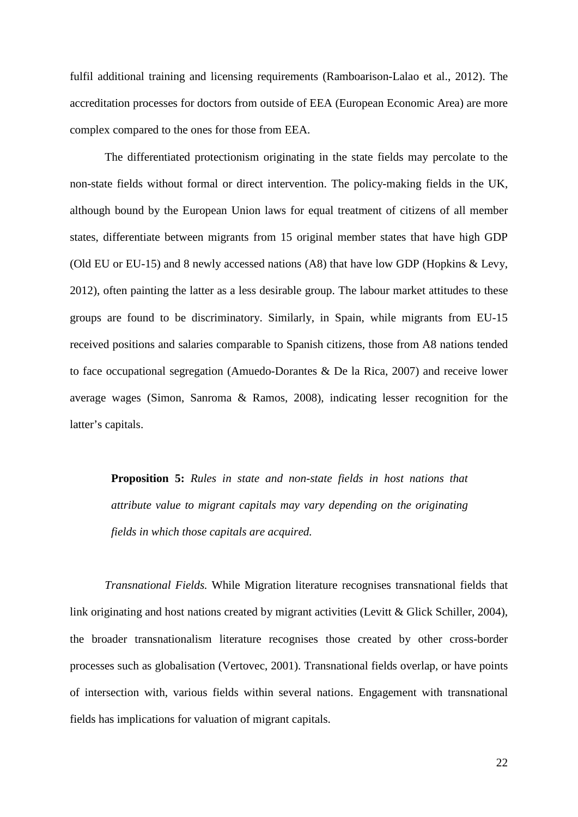fulfil additional training and licensing requirements (Ramboarison-Lalao et al., 2012). The accreditation processes for doctors from outside of EEA (European Economic Area) are more complex compared to the ones for those from EEA.

The differentiated protectionism originating in the state fields may percolate to the non-state fields without formal or direct intervention. The policy-making fields in the UK, although bound by the European Union laws for equal treatment of citizens of all member states, differentiate between migrants from 15 original member states that have high GDP (Old EU or EU-15) and 8 newly accessed nations (A8) that have low GDP (Hopkins & Levy, 2012), often painting the latter as a less desirable group. The labour market attitudes to these groups are found to be discriminatory. Similarly, in Spain, while migrants from EU-15 received positions and salaries comparable to Spanish citizens, those from A8 nations tended to face occupational segregation (Amuedo-Dorantes & De la Rica, 2007) and receive lower average wages (Simon, Sanroma & Ramos, 2008), indicating lesser recognition for the latter's capitals.

**Proposition 5:** *Rules in state and non-state fields in host nations that attribute value to migrant capitals may vary depending on the originating fields in which those capitals are acquired.* 

*Transnational Fields.* While Migration literature recognises transnational fields that link originating and host nations created by migrant activities (Levitt & Glick Schiller, 2004), the broader transnationalism literature recognises those created by other cross-border processes such as globalisation (Vertovec, 2001). Transnational fields overlap, or have points of intersection with, various fields within several nations. Engagement with transnational fields has implications for valuation of migrant capitals.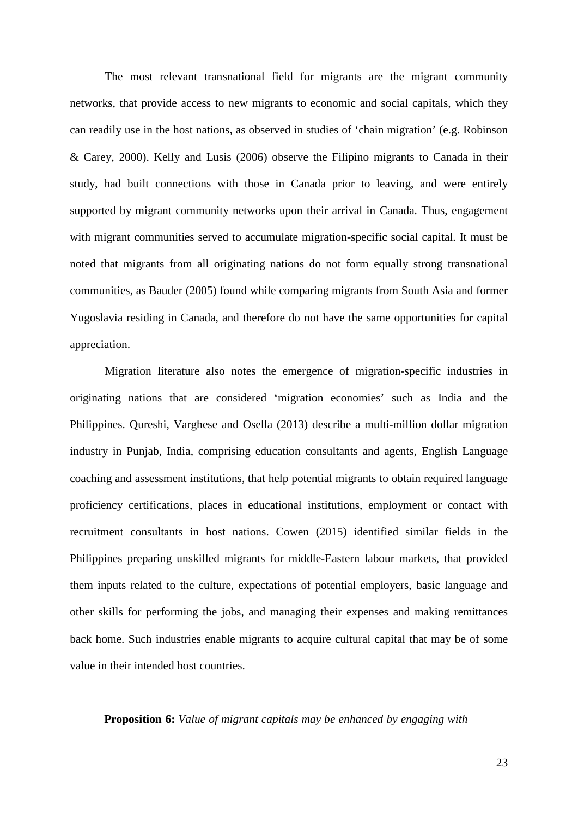The most relevant transnational field for migrants are the migrant community networks, that provide access to new migrants to economic and social capitals, which they can readily use in the host nations, as observed in studies of 'chain migration' (e.g. Robinson & Carey, 2000). Kelly and Lusis (2006) observe the Filipino migrants to Canada in their study, had built connections with those in Canada prior to leaving, and were entirely supported by migrant community networks upon their arrival in Canada. Thus, engagement with migrant communities served to accumulate migration-specific social capital. It must be noted that migrants from all originating nations do not form equally strong transnational communities, as Bauder (2005) found while comparing migrants from South Asia and former Yugoslavia residing in Canada, and therefore do not have the same opportunities for capital appreciation.

Migration literature also notes the emergence of migration-specific industries in originating nations that are considered 'migration economies' such as India and the Philippines. Qureshi, Varghese and Osella (2013) describe a multi-million dollar migration industry in Punjab, India, comprising education consultants and agents, English Language coaching and assessment institutions, that help potential migrants to obtain required language proficiency certifications, places in educational institutions, employment or contact with recruitment consultants in host nations. Cowen (2015) identified similar fields in the Philippines preparing unskilled migrants for middle-Eastern labour markets, that provided them inputs related to the culture, expectations of potential employers, basic language and other skills for performing the jobs, and managing their expenses and making remittances back home. Such industries enable migrants to acquire cultural capital that may be of some value in their intended host countries.

# **Proposition 6:** *Value of migrant capitals may be enhanced by engaging with*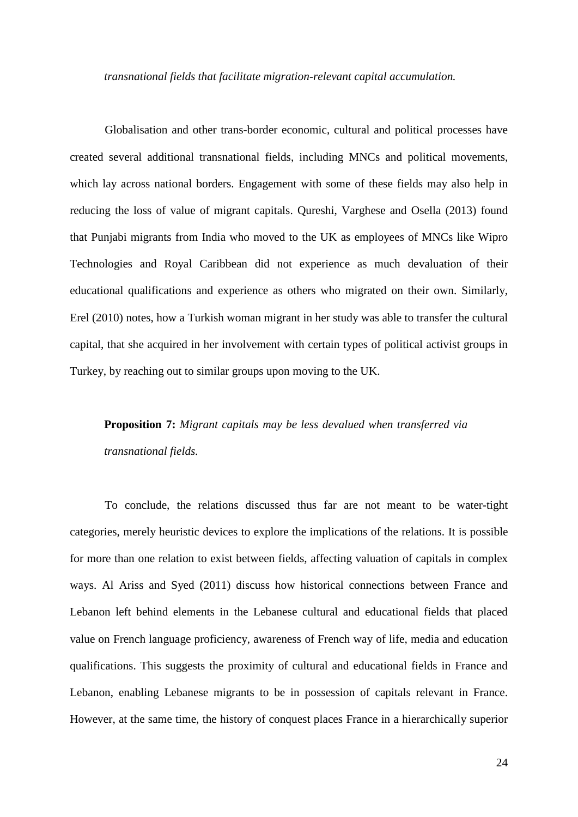*transnational fields that facilitate migration-relevant capital accumulation.*

Globalisation and other trans-border economic, cultural and political processes have created several additional transnational fields, including MNCs and political movements, which lay across national borders. Engagement with some of these fields may also help in reducing the loss of value of migrant capitals. Qureshi, Varghese and Osella (2013) found that Punjabi migrants from India who moved to the UK as employees of MNCs like Wipro Technologies and Royal Caribbean did not experience as much devaluation of their educational qualifications and experience as others who migrated on their own. Similarly, Erel (2010) notes, how a Turkish woman migrant in her study was able to transfer the cultural capital, that she acquired in her involvement with certain types of political activist groups in Turkey, by reaching out to similar groups upon moving to the UK.

# **Proposition 7:** *Migrant capitals may be less devalued when transferred via transnational fields.*

To conclude, the relations discussed thus far are not meant to be water-tight categories, merely heuristic devices to explore the implications of the relations. It is possible for more than one relation to exist between fields, affecting valuation of capitals in complex ways. Al Ariss and Syed (2011) discuss how historical connections between France and Lebanon left behind elements in the Lebanese cultural and educational fields that placed value on French language proficiency, awareness of French way of life, media and education qualifications. This suggests the proximity of cultural and educational fields in France and Lebanon, enabling Lebanese migrants to be in possession of capitals relevant in France. However, at the same time, the history of conquest places France in a hierarchically superior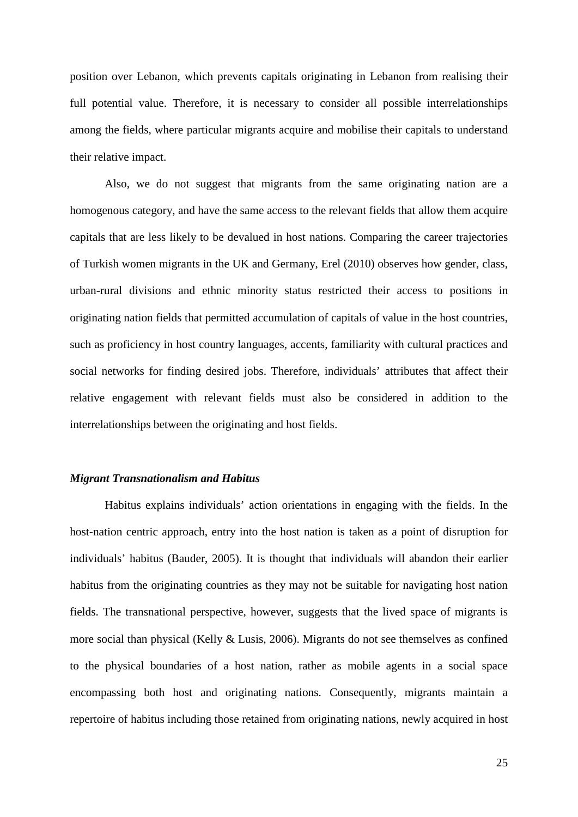position over Lebanon, which prevents capitals originating in Lebanon from realising their full potential value. Therefore, it is necessary to consider all possible interrelationships among the fields, where particular migrants acquire and mobilise their capitals to understand their relative impact.

Also, we do not suggest that migrants from the same originating nation are a homogenous category, and have the same access to the relevant fields that allow them acquire capitals that are less likely to be devalued in host nations. Comparing the career trajectories of Turkish women migrants in the UK and Germany, Erel (2010) observes how gender, class, urban-rural divisions and ethnic minority status restricted their access to positions in originating nation fields that permitted accumulation of capitals of value in the host countries, such as proficiency in host country languages, accents, familiarity with cultural practices and social networks for finding desired jobs. Therefore, individuals' attributes that affect their relative engagement with relevant fields must also be considered in addition to the interrelationships between the originating and host fields.

# *Migrant Transnationalism and Habitus*

Habitus explains individuals' action orientations in engaging with the fields. In the host-nation centric approach, entry into the host nation is taken as a point of disruption for individuals' habitus (Bauder, 2005). It is thought that individuals will abandon their earlier habitus from the originating countries as they may not be suitable for navigating host nation fields. The transnational perspective, however, suggests that the lived space of migrants is more social than physical (Kelly & Lusis, 2006). Migrants do not see themselves as confined to the physical boundaries of a host nation, rather as mobile agents in a social space encompassing both host and originating nations. Consequently, migrants maintain a repertoire of habitus including those retained from originating nations, newly acquired in host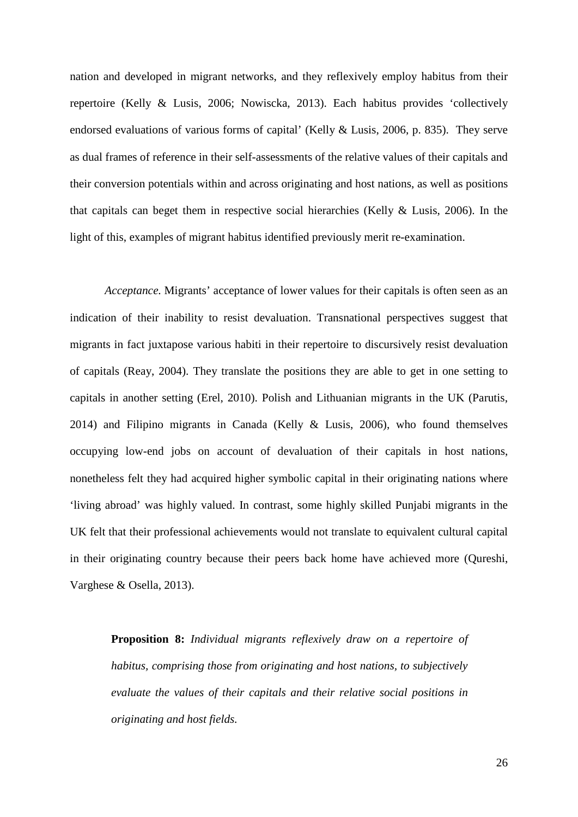nation and developed in migrant networks, and they reflexively employ habitus from their repertoire (Kelly & Lusis, 2006; Nowiscka, 2013). Each habitus provides 'collectively endorsed evaluations of various forms of capital' (Kelly & Lusis, 2006, p. 835). They serve as dual frames of reference in their self-assessments of the relative values of their capitals and their conversion potentials within and across originating and host nations, as well as positions that capitals can beget them in respective social hierarchies (Kelly & Lusis, 2006). In the light of this, examples of migrant habitus identified previously merit re-examination.

*Acceptance.* Migrants' acceptance of lower values for their capitals is often seen as an indication of their inability to resist devaluation. Transnational perspectives suggest that migrants in fact juxtapose various habiti in their repertoire to discursively resist devaluation of capitals (Reay, 2004). They translate the positions they are able to get in one setting to capitals in another setting (Erel, 2010). Polish and Lithuanian migrants in the UK (Parutis, 2014) and Filipino migrants in Canada (Kelly & Lusis, 2006), who found themselves occupying low-end jobs on account of devaluation of their capitals in host nations, nonetheless felt they had acquired higher symbolic capital in their originating nations where 'living abroad' was highly valued. In contrast, some highly skilled Punjabi migrants in the UK felt that their professional achievements would not translate to equivalent cultural capital in their originating country because their peers back home have achieved more (Qureshi, Varghese & Osella, 2013).

**Proposition 8:** *Individual migrants reflexively draw on a repertoire of habitus, comprising those from originating and host nations, to subjectively evaluate the values of their capitals and their relative social positions in originating and host fields.*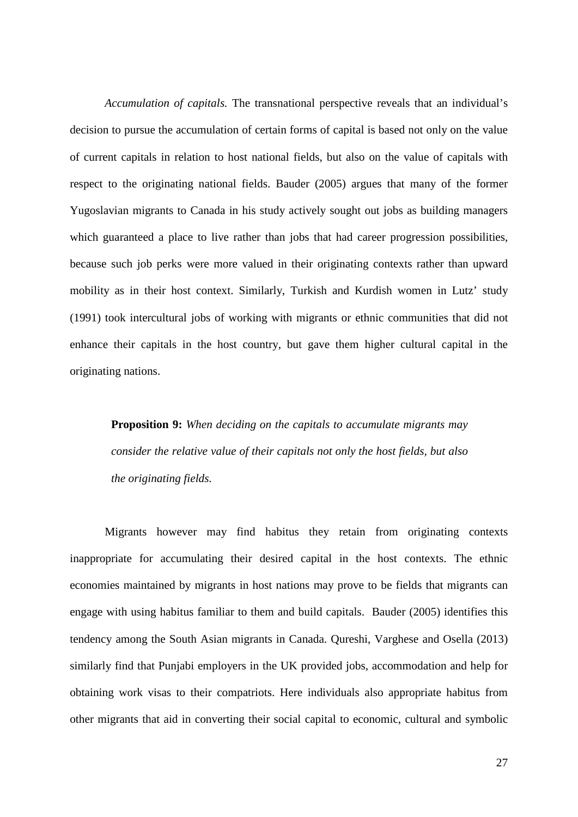*Accumulation of capitals.* The transnational perspective reveals that an individual's decision to pursue the accumulation of certain forms of capital is based not only on the value of current capitals in relation to host national fields, but also on the value of capitals with respect to the originating national fields. Bauder (2005) argues that many of the former Yugoslavian migrants to Canada in his study actively sought out jobs as building managers which guaranteed a place to live rather than jobs that had career progression possibilities, because such job perks were more valued in their originating contexts rather than upward mobility as in their host context. Similarly, Turkish and Kurdish women in Lutz' study (1991) took intercultural jobs of working with migrants or ethnic communities that did not enhance their capitals in the host country, but gave them higher cultural capital in the originating nations.

**Proposition 9:** *When deciding on the capitals to accumulate migrants may consider the relative value of their capitals not only the host fields, but also the originating fields.*

Migrants however may find habitus they retain from originating contexts inappropriate for accumulating their desired capital in the host contexts. The ethnic economies maintained by migrants in host nations may prove to be fields that migrants can engage with using habitus familiar to them and build capitals. Bauder (2005) identifies this tendency among the South Asian migrants in Canada. Qureshi, Varghese and Osella (2013) similarly find that Punjabi employers in the UK provided jobs, accommodation and help for obtaining work visas to their compatriots. Here individuals also appropriate habitus from other migrants that aid in converting their social capital to economic, cultural and symbolic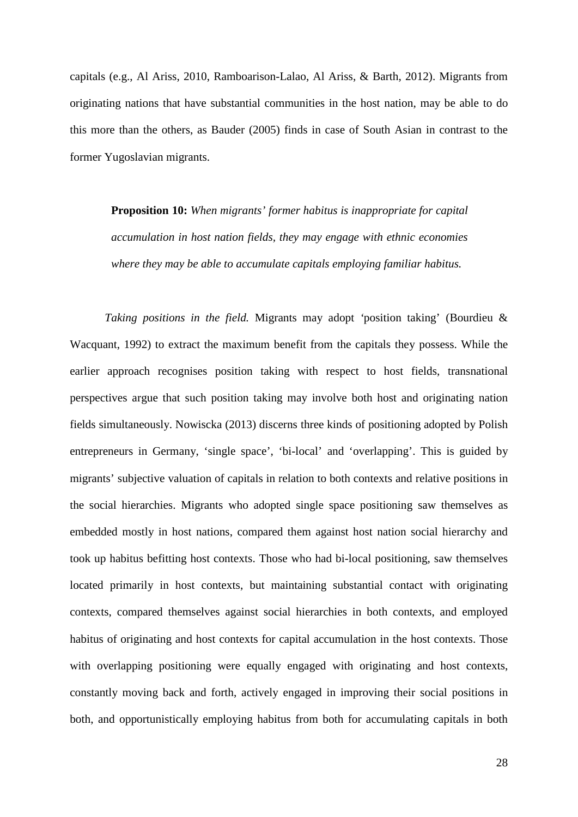capitals (e.g., Al Ariss, 2010, Ramboarison-Lalao, Al Ariss, & Barth, 2012). Migrants from originating nations that have substantial communities in the host nation, may be able to do this more than the others, as Bauder (2005) finds in case of South Asian in contrast to the former Yugoslavian migrants.

**Proposition 10:** *When migrants' former habitus is inappropriate for capital accumulation in host nation fields, they may engage with ethnic economies where they may be able to accumulate capitals employing familiar habitus.*

*Taking positions in the field.* Migrants may adopt *'*position taking' (Bourdieu & Wacquant, 1992) to extract the maximum benefit from the capitals they possess. While the earlier approach recognises position taking with respect to host fields, transnational perspectives argue that such position taking may involve both host and originating nation fields simultaneously. Nowiscka (2013) discerns three kinds of positioning adopted by Polish entrepreneurs in Germany, 'single space', 'bi-local' and 'overlapping'. This is guided by migrants' subjective valuation of capitals in relation to both contexts and relative positions in the social hierarchies. Migrants who adopted single space positioning saw themselves as embedded mostly in host nations, compared them against host nation social hierarchy and took up habitus befitting host contexts. Those who had bi-local positioning, saw themselves located primarily in host contexts, but maintaining substantial contact with originating contexts, compared themselves against social hierarchies in both contexts, and employed habitus of originating and host contexts for capital accumulation in the host contexts. Those with overlapping positioning were equally engaged with originating and host contexts, constantly moving back and forth, actively engaged in improving their social positions in both, and opportunistically employing habitus from both for accumulating capitals in both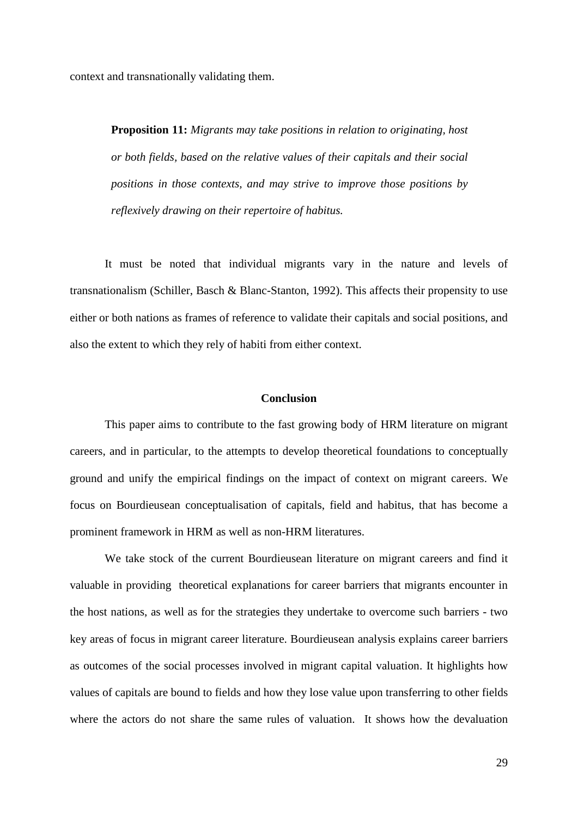context and transnationally validating them.

**Proposition 11:** *Migrants may take positions in relation to originating, host or both fields, based on the relative values of their capitals and their social positions in those contexts, and may strive to improve those positions by reflexively drawing on their repertoire of habitus.*

It must be noted that individual migrants vary in the nature and levels of transnationalism (Schiller, Basch & Blanc-Stanton, 1992). This affects their propensity to use either or both nations as frames of reference to validate their capitals and social positions, and also the extent to which they rely of habiti from either context.

# **Conclusion**

This paper aims to contribute to the fast growing body of HRM literature on migrant careers, and in particular, to the attempts to develop theoretical foundations to conceptually ground and unify the empirical findings on the impact of context on migrant careers. We focus on Bourdieusean conceptualisation of capitals, field and habitus, that has become a prominent framework in HRM as well as non-HRM literatures.

We take stock of the current Bourdieusean literature on migrant careers and find it valuable in providing theoretical explanations for career barriers that migrants encounter in the host nations, as well as for the strategies they undertake to overcome such barriers - two key areas of focus in migrant career literature. Bourdieusean analysis explains career barriers as outcomes of the social processes involved in migrant capital valuation. It highlights how values of capitals are bound to fields and how they lose value upon transferring to other fields where the actors do not share the same rules of valuation. It shows how the devaluation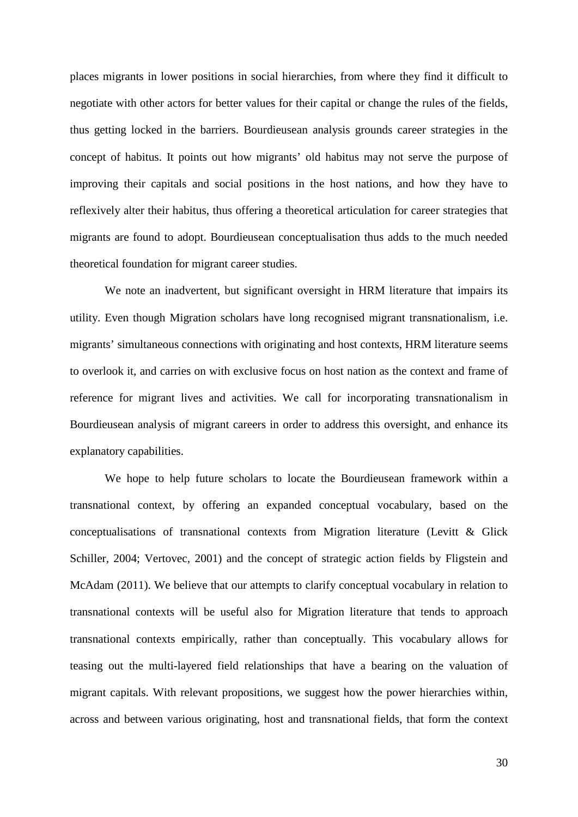places migrants in lower positions in social hierarchies, from where they find it difficult to negotiate with other actors for better values for their capital or change the rules of the fields, thus getting locked in the barriers. Bourdieusean analysis grounds career strategies in the concept of habitus. It points out how migrants' old habitus may not serve the purpose of improving their capitals and social positions in the host nations, and how they have to reflexively alter their habitus, thus offering a theoretical articulation for career strategies that migrants are found to adopt. Bourdieusean conceptualisation thus adds to the much needed theoretical foundation for migrant career studies.

We note an inadvertent, but significant oversight in HRM literature that impairs its utility. Even though Migration scholars have long recognised migrant transnationalism, i.e. migrants' simultaneous connections with originating and host contexts, HRM literature seems to overlook it, and carries on with exclusive focus on host nation as the context and frame of reference for migrant lives and activities. We call for incorporating transnationalism in Bourdieusean analysis of migrant careers in order to address this oversight, and enhance its explanatory capabilities.

We hope to help future scholars to locate the Bourdieusean framework within a transnational context, by offering an expanded conceptual vocabulary, based on the conceptualisations of transnational contexts from Migration literature (Levitt & Glick Schiller, 2004; Vertovec, 2001) and the concept of strategic action fields by Fligstein and McAdam (2011). We believe that our attempts to clarify conceptual vocabulary in relation to transnational contexts will be useful also for Migration literature that tends to approach transnational contexts empirically, rather than conceptually. This vocabulary allows for teasing out the multi-layered field relationships that have a bearing on the valuation of migrant capitals. With relevant propositions, we suggest how the power hierarchies within, across and between various originating, host and transnational fields, that form the context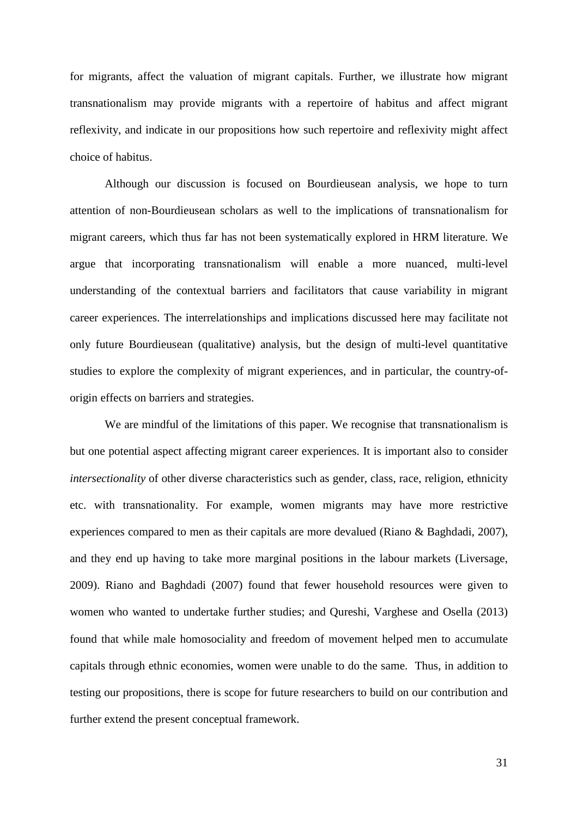for migrants, affect the valuation of migrant capitals. Further, we illustrate how migrant transnationalism may provide migrants with a repertoire of habitus and affect migrant reflexivity, and indicate in our propositions how such repertoire and reflexivity might affect choice of habitus.

Although our discussion is focused on Bourdieusean analysis, we hope to turn attention of non-Bourdieusean scholars as well to the implications of transnationalism for migrant careers, which thus far has not been systematically explored in HRM literature. We argue that incorporating transnationalism will enable a more nuanced, multi-level understanding of the contextual barriers and facilitators that cause variability in migrant career experiences. The interrelationships and implications discussed here may facilitate not only future Bourdieusean (qualitative) analysis, but the design of multi-level quantitative studies to explore the complexity of migrant experiences, and in particular, the country-oforigin effects on barriers and strategies.

We are mindful of the limitations of this paper. We recognise that transnationalism is but one potential aspect affecting migrant career experiences. It is important also to consider *intersectionality* of other diverse characteristics such as gender, class, race, religion, ethnicity etc. with transnationality. For example, women migrants may have more restrictive experiences compared to men as their capitals are more devalued (Riano & Baghdadi, 2007), and they end up having to take more marginal positions in the labour markets (Liversage, 2009). Riano and Baghdadi (2007) found that fewer household resources were given to women who wanted to undertake further studies; and Qureshi, Varghese and Osella (2013) found that while male homosociality and freedom of movement helped men to accumulate capitals through ethnic economies, women were unable to do the same. Thus, in addition to testing our propositions, there is scope for future researchers to build on our contribution and further extend the present conceptual framework.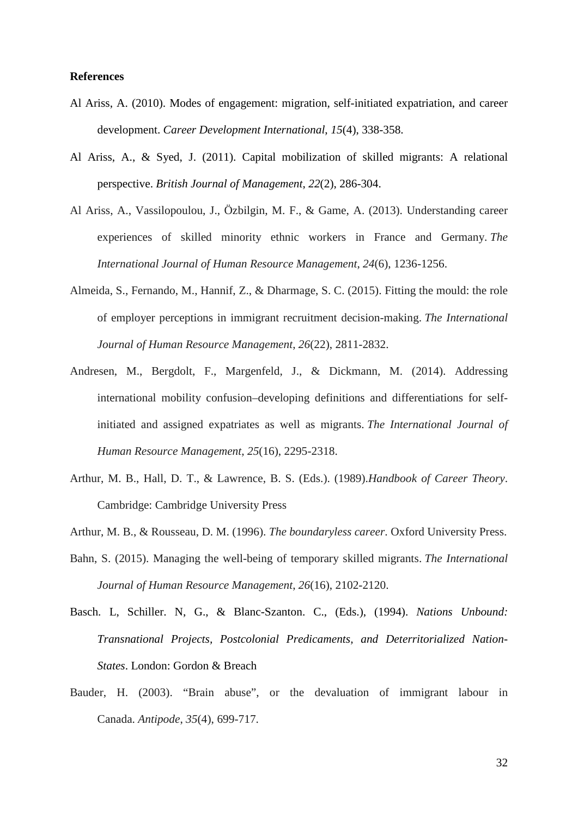### **References**

- Al Ariss, A. (2010). Modes of engagement: migration, self-initiated expatriation, and career development. *Career Development International*, *15*(4), 338-358.
- Al Ariss, A., & Syed, J. (2011). Capital mobilization of skilled migrants: A relational perspective. *British Journal of Management*, *22*(2), 286-304.
- Al Ariss, A., Vassilopoulou, J., Özbilgin, M. F., & Game, A. (2013). Understanding career experiences of skilled minority ethnic workers in France and Germany. *The International Journal of Human Resource Management*, *24*(6), 1236-1256.
- Almeida, S., Fernando, M., Hannif, Z., & Dharmage, S. C. (2015). Fitting the mould: the role of employer perceptions in immigrant recruitment decision-making. *The International Journal of Human Resource Management*, *26*(22), 2811-2832.
- Andresen, M., Bergdolt, F., Margenfeld, J., & Dickmann, M. (2014). Addressing international mobility confusion–developing definitions and differentiations for selfinitiated and assigned expatriates as well as migrants. *The International Journal of Human Resource Management*, *25*(16), 2295-2318.
- Arthur, M. B., Hall, D. T., & Lawrence, B. S. (Eds.). (1989).*Handbook of Career Theory*. Cambridge: Cambridge University Press
- Arthur, M. B., & Rousseau, D. M. (1996). *The boundaryless career*. Oxford University Press.
- Bahn, S. (2015). Managing the well-being of temporary skilled migrants. *The International Journal of Human Resource Management*, *26*(16), 2102-2120.
- Basch. L, Schiller. N, G., & Blanc-Szanton. C., (Eds.), (1994). *Nations Unbound: Transnational Projects, Postcolonial Predicaments, and Deterritorialized Nation-States*. London: Gordon & Breach
- Bauder, H. (2003). "Brain abuse", or the devaluation of immigrant labour in Canada. *Antipode*, *35*(4), 699-717.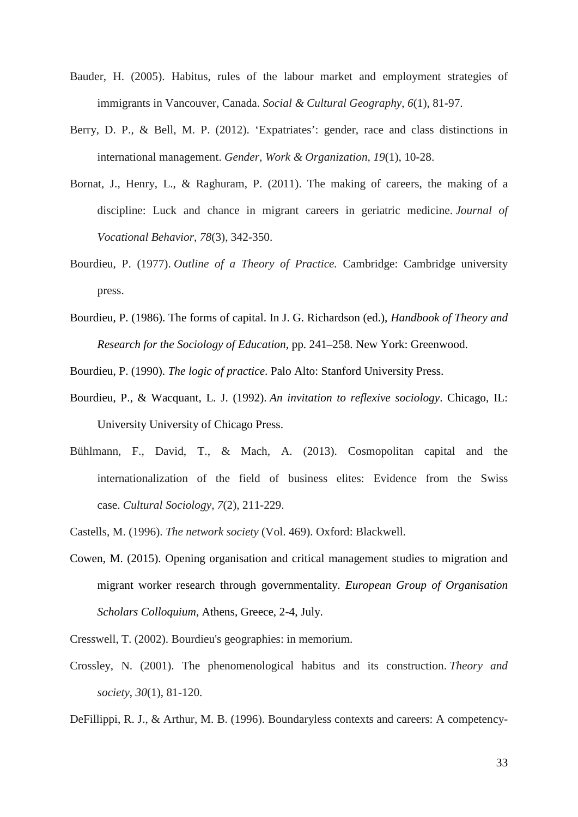- Bauder, H. (2005). Habitus, rules of the labour market and employment strategies of immigrants in Vancouver, Canada. *Social & Cultural Geography*, *6*(1), 81-97.
- Berry, D. P., & Bell, M. P. (2012). 'Expatriates': gender, race and class distinctions in international management. *Gender, Work & Organization*, *19*(1), 10-28.
- Bornat, J., Henry, L., & Raghuram, P. (2011). The making of careers, the making of a discipline: Luck and chance in migrant careers in geriatric medicine. *Journal of Vocational Behavior*, *78*(3), 342-350.
- Bourdieu, P. (1977). *Outline of a Theory of Practice.* Cambridge: Cambridge university press.
- Bourdieu, P. (1986). The forms of capital. In J. G. Richardson (ed.), *Handbook of Theory and Research for the Sociology of Education*, pp. 241–258. New York: Greenwood.

Bourdieu, P. (1990). *The logic of practice*. Palo Alto: Stanford University Press.

- Bourdieu, P., & Wacquant, L. J. (1992). *An invitation to reflexive sociology*. Chicago, IL: University University of Chicago Press.
- Bühlmann, F., David, T., & Mach, A. (2013). Cosmopolitan capital and the internationalization of the field of business elites: Evidence from the Swiss case. *Cultural Sociology*, *7*(2), 211-229.
- Castells, M. (1996). *The network society* (Vol. 469). Oxford: Blackwell.
- Cowen, M. (2015). Opening organisation and critical management studies to migration and migrant worker research through governmentality. *European Group of Organisation Scholars Colloquium*, Athens, Greece, 2-4, July.

Cresswell, T. (2002). Bourdieu's geographies: in memorium.

Crossley, N. (2001). The phenomenological habitus and its construction. *Theory and society*, *30*(1), 81-120.

DeFillippi, R. J., & Arthur, M. B. (1996). Boundaryless contexts and careers: A competency-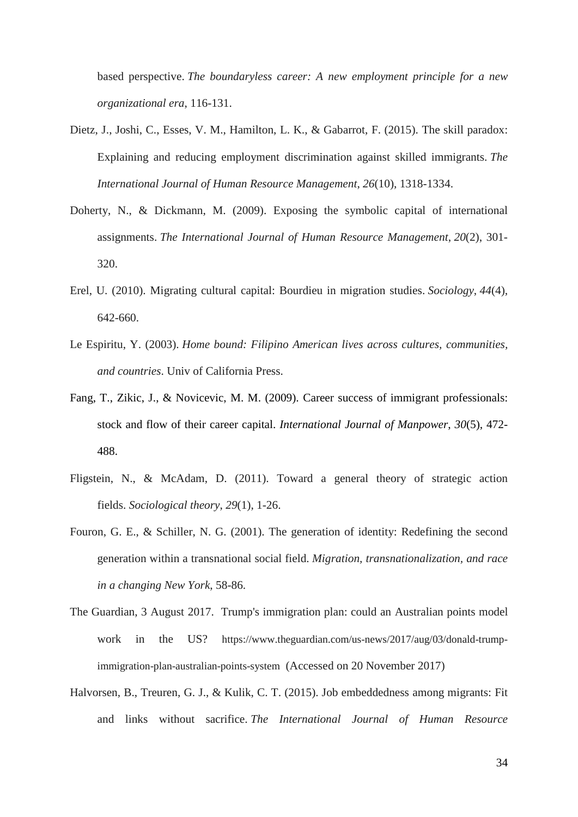based perspective. *The boundaryless career: A new employment principle for a new organizational era*, 116-131.

- Dietz, J., Joshi, C., Esses, V. M., Hamilton, L. K., & Gabarrot, F. (2015). The skill paradox: Explaining and reducing employment discrimination against skilled immigrants. *The International Journal of Human Resource Management*, *26*(10), 1318-1334.
- Doherty, N., & Dickmann, M. (2009). Exposing the symbolic capital of international assignments. *The International Journal of Human Resource Management*, *20*(2), 301- 320.
- Erel, U. (2010). Migrating cultural capital: Bourdieu in migration studies. *Sociology*, *44*(4), 642-660.
- Le Espiritu, Y. (2003). *Home bound: Filipino American lives across cultures, communities, and countries*. Univ of California Press.
- Fang, T., Zikic, J., & Novicevic, M. M. (2009). Career success of immigrant professionals: stock and flow of their career capital. *International Journal of Manpower*, *30*(5), 472- 488.
- Fligstein, N., & McAdam, D. (2011). Toward a general theory of strategic action fields. *Sociological theory*, *29*(1), 1-26.
- Fouron, G. E., & Schiller, N. G. (2001). The generation of identity: Redefining the second generation within a transnational social field. *Migration, transnationalization, and race in a changing New York*, 58-86.
- The Guardian, 3 August 2017. Trump's immigration plan: could an Australian points model work in the US? [https://www.theguardian.com/us-news/2017/aug/03/donald-trump](https://www.theguardian.com/us-news/2017/aug/03/donald-trump-immigration-plan-australian-points-system)[immigration-plan-australian-points-system](https://www.theguardian.com/us-news/2017/aug/03/donald-trump-immigration-plan-australian-points-system) (Accessed on 20 November 2017)
- Halvorsen, B., Treuren, G. J., & Kulik, C. T. (2015). Job embeddedness among migrants: Fit and links without sacrifice. *The International Journal of Human Resource*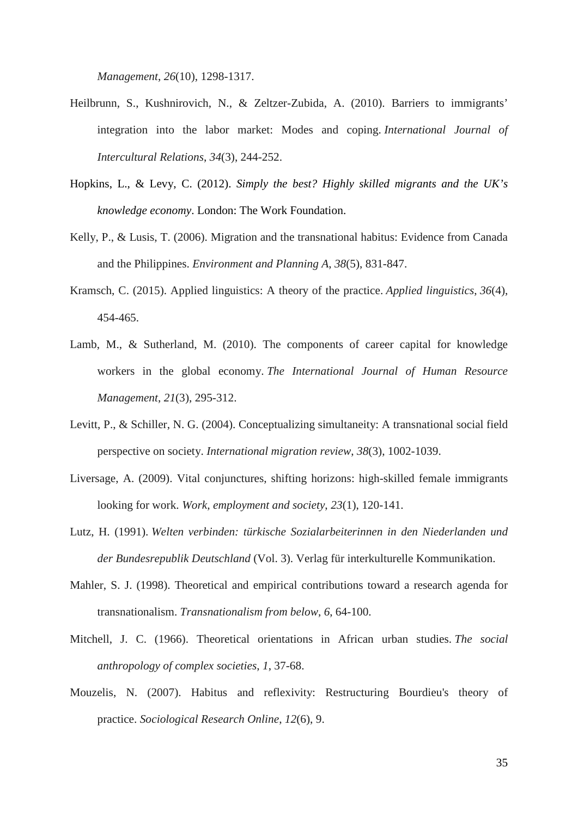*Management*, *26*(10), 1298-1317.

- Heilbrunn, S., Kushnirovich, N., & Zeltzer-Zubida, A. (2010). Barriers to immigrants' integration into the labor market: Modes and coping. *International Journal of Intercultural Relations*, *34*(3), 244-252.
- Hopkins, L., & Levy, C. (2012). *Simply the best? Highly skilled migrants and the UK's knowledge economy*. London: The Work Foundation.
- Kelly, P., & Lusis, T. (2006). Migration and the transnational habitus: Evidence from Canada and the Philippines. *Environment and Planning A*, *38*(5), 831-847.
- Kramsch, C. (2015). Applied linguistics: A theory of the practice. *Applied linguistics*, *36*(4), 454-465.
- Lamb, M., & Sutherland, M. (2010). The components of career capital for knowledge workers in the global economy. *The International Journal of Human Resource Management*, *21*(3), 295-312.
- Levitt, P., & Schiller, N. G. (2004). Conceptualizing simultaneity: A transnational social field perspective on society. *International migration review*, *38*(3), 1002-1039.
- Liversage, A. (2009). Vital conjunctures, shifting horizons: high-skilled female immigrants looking for work. *Work, employment and society*, *23*(1), 120-141.
- Lutz, H. (1991). *Welten verbinden: türkische Sozialarbeiterinnen in den Niederlanden und der Bundesrepublik Deutschland* (Vol. 3). Verlag für interkulturelle Kommunikation.
- Mahler, S. J. (1998). Theoretical and empirical contributions toward a research agenda for transnationalism. *Transnationalism from below*, *6*, 64-100.
- Mitchell, J. C. (1966). Theoretical orientations in African urban studies. *The social anthropology of complex societies*, *1*, 37-68.
- Mouzelis, N. (2007). Habitus and reflexivity: Restructuring Bourdieu's theory of practice. *Sociological Research Online*, *12*(6), 9.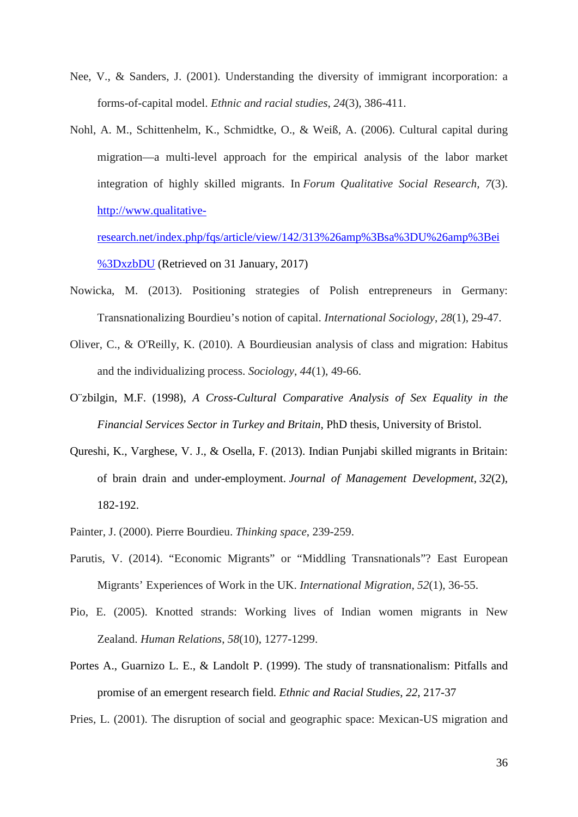- Nee, V., & Sanders, J. (2001). Understanding the diversity of immigrant incorporation: a forms-of-capital model. *Ethnic and racial studies*, *24*(3), 386-411.
- Nohl, A. M., Schittenhelm, K., Schmidtke, O., & Weiß, A. (2006). Cultural capital during migration—a multi-level approach for the empirical analysis of the labor market integration of highly skilled migrants. In *Forum Qualitative Social Research, 7*(3). [http://www.qualitative-](http://www.qualitative-research.net/index.php/fqs/article/view/142/313%26amp%3Bsa%3DU%26amp%3Bei%3DxzbDU)

[research.net/index.php/fqs/article/view/142/313%26amp%3Bsa%3DU%26amp%3Bei](http://www.qualitative-research.net/index.php/fqs/article/view/142/313%26amp%3Bsa%3DU%26amp%3Bei%3DxzbDU) [%3DxzbDU](http://www.qualitative-research.net/index.php/fqs/article/view/142/313%26amp%3Bsa%3DU%26amp%3Bei%3DxzbDU) (Retrieved on 31 January, 2017)

- Nowicka, M. (2013). Positioning strategies of Polish entrepreneurs in Germany: Transnationalizing Bourdieu's notion of capital. *International Sociology*, *28*(1), 29-47.
- Oliver, C., & O'Reilly, K. (2010). A Bourdieusian analysis of class and migration: Habitus and the individualizing process. *Sociology*, *44*(1), 49-66.
- O¨zbilgin, M.F. (1998), *A Cross-Cultural Comparative Analysis of Sex Equality in the Financial Services Sector in Turkey and Britain*, PhD thesis, University of Bristol.
- Qureshi, K., Varghese, V. J., & Osella, F. (2013). Indian Punjabi skilled migrants in Britain: of brain drain and under-employment. *Journal of Management Development*, *32*(2), 182-192.
- Painter, J. (2000). Pierre Bourdieu. *Thinking space*, 239-259.
- Parutis, V. (2014). "Economic Migrants" or "Middling Transnationals"? East European Migrants' Experiences of Work in the UK. *International Migration*, *52*(1), 36-55.
- Pio, E. (2005). Knotted strands: Working lives of Indian women migrants in New Zealand. *Human Relations*, *58*(10), 1277-1299.
- Portes A., Guarnizo L. E., & Landolt P. (1999). The study of transnationalism: Pitfalls and promise of an emergent research field. *Ethnic and Racial Studies*, *22*, 217-37
- Pries, L. (2001). The disruption of social and geographic space: Mexican-US migration and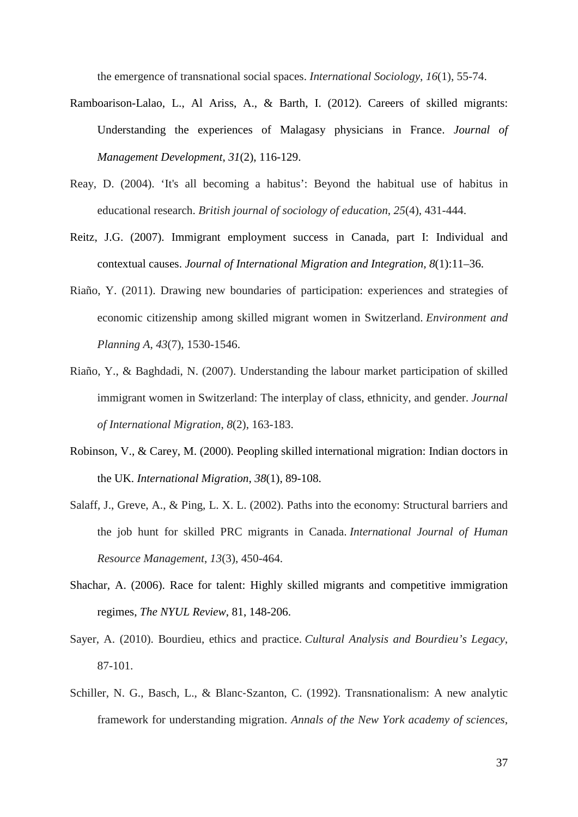the emergence of transnational social spaces. *International Sociology*, *16*(1), 55-74.

- Ramboarison-Lalao, L., Al Ariss, A., & Barth, I. (2012). Careers of skilled migrants: Understanding the experiences of Malagasy physicians in France. *Journal of Management Development*, *31*(2), 116-129.
- Reay, D. (2004). 'It's all becoming a habitus': Beyond the habitual use of habitus in educational research. *British journal of sociology of education*, *25*(4), 431-444.
- Reitz, J.G. (2007). Immigrant employment success in Canada, part I: Individual and contextual causes. *Journal of International Migration and Integration, 8*(1):11–36.
- Riaño, Y. (2011). Drawing new boundaries of participation: experiences and strategies of economic citizenship among skilled migrant women in Switzerland. *Environment and Planning A*, *43*(7), 1530-1546.
- Riaño, Y., & Baghdadi, N. (2007). Understanding the labour market participation of skilled immigrant women in Switzerland: The interplay of class, ethnicity, and gender. *Journal of International Migration*, *8*(2), 163-183.
- Robinson, V., & Carey, M. (2000). Peopling skilled international migration: Indian doctors in the UK. *International Migration*, *38*(1), 89-108.
- Salaff, J., Greve, A., & Ping, L. X. L. (2002). Paths into the economy: Structural barriers and the job hunt for skilled PRC migrants in Canada. *International Journal of Human Resource Management*, *13*(3), 450-464.
- Shachar, A. (2006). Race for talent: Highly skilled migrants and competitive immigration regimes, *The NYUL Review*, 81, 148-206.
- Sayer, A. (2010). Bourdieu, ethics and practice. *Cultural Analysis and Bourdieu's Legacy*, 87-101.
- Schiller, N. G., Basch, L., & Blanc‐Szanton, C. (1992). Transnationalism: A new analytic framework for understanding migration. *Annals of the New York academy of sciences*,